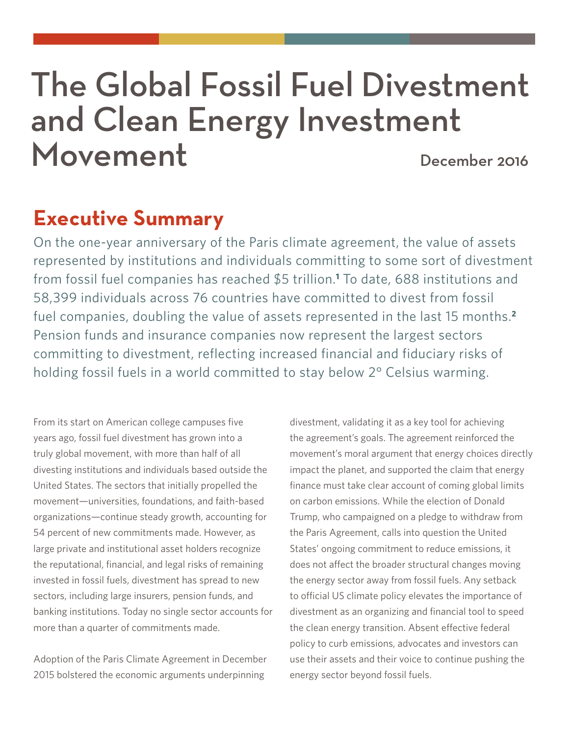# The Global Fossil Fuel Divestment and Clean Energy Investment Movement December 2016

## **Executive Summary**

On the one-year anniversary of the Paris climate agreement, the value of assets represented by institutions and individuals committing to some sort of divestment from fossil fuel companies has reached \$5 trillion.**<sup>1</sup>** To date, 688 institutions and 58,399 individuals across 76 countries have committed to divest from fossil fuel companies, doubling the value of assets represented in the last 15 months.**<sup>2</sup>** Pension funds and insurance companies now represent the largest sectors committing to divestment, reflecting increased financial and fiduciary risks of holding fossil fuels in a world committed to stay below 2° Celsius warming.

From its start on American college campuses five years ago, fossil fuel divestment has grown into a truly global movement, with more than half of all divesting institutions and individuals based outside the United States. The sectors that initially propelled the movement—universities, foundations, and faith-based organizations—continue steady growth, accounting for 54 percent of new commitments made. However, as large private and institutional asset holders recognize the reputational, financial, and legal risks of remaining invested in fossil fuels, divestment has spread to new sectors, including large insurers, pension funds, and banking institutions. Today no single sector accounts for more than a quarter of commitments made.

Adoption of the Paris Climate Agreement in December 2015 bolstered the economic arguments underpinning

divestment, validating it as a key tool for achieving the agreement's goals. The agreement reinforced the movement's moral argument that energy choices directly impact the planet, and supported the claim that energy finance must take clear account of coming global limits on carbon emissions. While the election of Donald Trump, who campaigned on a pledge to withdraw from the Paris Agreement, calls into question the United States' ongoing commitment to reduce emissions, it does not affect the broader structural changes moving the energy sector away from fossil fuels. Any setback to official US climate policy elevates the importance of divestment as an organizing and financial tool to speed the clean energy transition. Absent effective federal policy to curb emissions, advocates and investors can use their assets and their voice to continue pushing the energy sector beyond fossil fuels.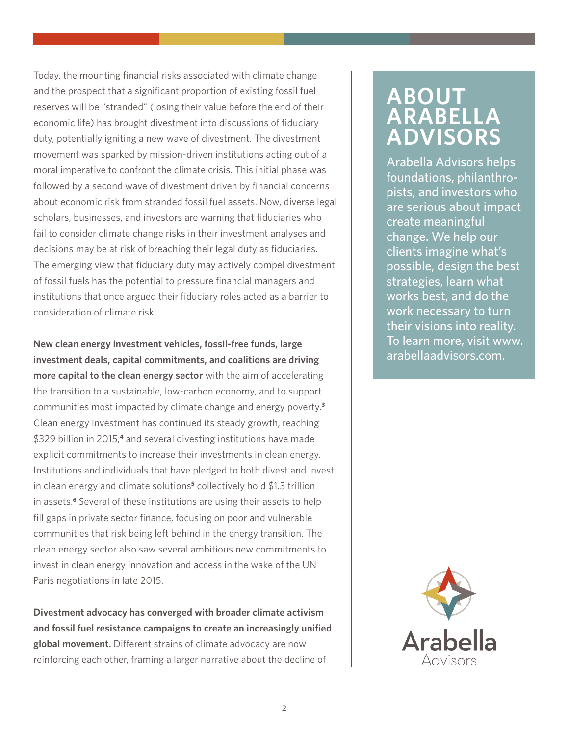Today, the mounting financial risks associated with climate change and the prospect that a significant proportion of existing fossil fuel reserves will be "stranded" (losing their value before the end of their economic life) has brought divestment into discussions of fiduciary duty, potentially igniting a new wave of divestment. The divestment movement was sparked by mission-driven institutions acting out of a moral imperative to confront the climate crisis. This initial phase was followed by a second wave of divestment driven by financial concerns about economic risk from stranded fossil fuel assets. Now, diverse legal scholars, businesses, and investors are warning that fiduciaries who fail to consider climate change risks in their investment analyses and decisions may be at risk of breaching their legal duty as fiduciaries. The emerging view that fiduciary duty may actively compel divestment of fossil fuels has the potential to pressure financial managers and institutions that once argued their fiduciary roles acted as a barrier to consideration of climate risk.

**New clean energy investment vehicles, fossil-free funds, large investment deals, capital commitments, and coalitions are driving more capital to the clean energy sector** with the aim of accelerating the transition to a sustainable, low-carbon economy, and to support communities most impacted by climate change and energy poverty.**<sup>3</sup>** Clean energy investment has continued its steady growth, reaching \$329 billion in 2015,**<sup>4</sup>** and several divesting institutions have made explicit commitments to increase their investments in clean energy. Institutions and individuals that have pledged to both divest and invest in clean energy and climate solutions**<sup>5</sup>** collectively hold \$1.3 trillion in assets.**<sup>6</sup>** Several of these institutions are using their assets to help fill gaps in private sector finance, focusing on poor and vulnerable communities that risk being left behind in the energy transition. The clean energy sector also saw several ambitious new commitments to invest in clean energy innovation and access in the wake of the UN Paris negotiations in late 2015.

**Divestment advocacy has converged with broader climate activism and fossil fuel resistance campaigns to create an increasingly unified global movement.** Different strains of climate advocacy are now reinforcing each other, framing a larger narrative about the decline of

## **ABOUT ARABELLA ADVISORS**

Arabella Advisors helps foundations, philanthropists, and investors who are serious about impact create meaningful change. We help our clients imagine what's possible, design the best strategies, learn what works best, and do the work necessary to turn their visions into reality. To learn more, visit www. arabellaadvisors.com.

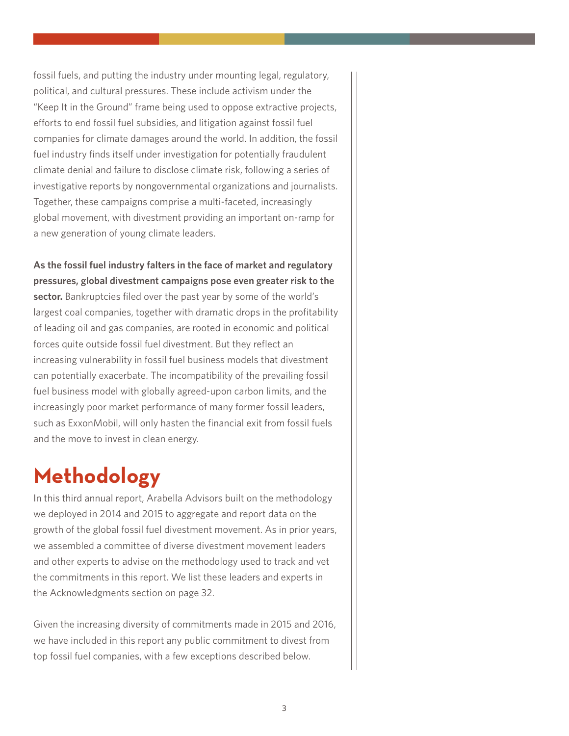fossil fuels, and putting the industry under mounting legal, regulatory, political, and cultural pressures. These include activism under the "Keep It in the Ground" frame being used to oppose extractive projects, efforts to end fossil fuel subsidies, and litigation against fossil fuel companies for climate damages around the world. In addition, the fossil fuel industry finds itself under investigation for potentially fraudulent climate denial and failure to disclose climate risk, following a series of investigative reports by nongovernmental organizations and journalists. Together, these campaigns comprise a multi-faceted, increasingly global movement, with divestment providing an important on-ramp for a new generation of young climate leaders.

**As the fossil fuel industry falters in the face of market and regulatory pressures, global divestment campaigns pose even greater risk to the sector.** Bankruptcies filed over the past year by some of the world's largest coal companies, together with dramatic drops in the profitability of leading oil and gas companies, are rooted in economic and political forces quite outside fossil fuel divestment. But they reflect an increasing vulnerability in fossil fuel business models that divestment can potentially exacerbate. The incompatibility of the prevailing fossil fuel business model with globally agreed-upon carbon limits, and the increasingly poor market performance of many former fossil leaders, such as ExxonMobil, will only hasten the financial exit from fossil fuels and the move to invest in clean energy.

## **Methodology**

In this third annual report, Arabella Advisors built on the methodology we deployed in 2014 and 2015 to aggregate and report data on the growth of the global fossil fuel divestment movement. As in prior years, we assembled a committee of diverse divestment movement leaders and other experts to advise on the methodology used to track and vet the commitments in this report. We list these leaders and experts in the Acknowledgments section on page 32.

Given the increasing diversity of commitments made in 2015 and 2016, we have included in this report any public commitment to divest from top fossil fuel companies, with a few exceptions described below.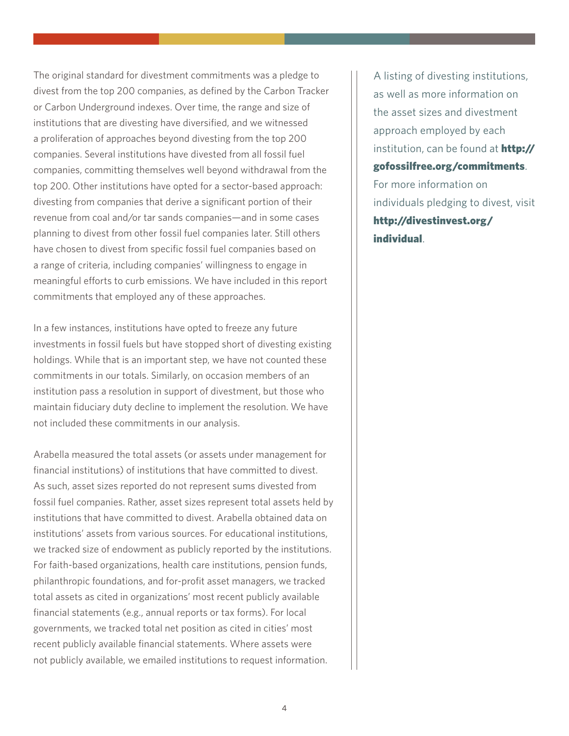The original standard for divestment commitments was a pledge to divest from the top 200 companies, as defined by the Carbon Tracker or Carbon Underground indexes. Over time, the range and size of institutions that are divesting have diversified, and we witnessed a proliferation of approaches beyond divesting from the top 200 companies. Several institutions have divested from all fossil fuel companies, committing themselves well beyond withdrawal from the top 200. Other institutions have opted for a sector-based approach: divesting from companies that derive a significant portion of their revenue from coal and/or tar sands companies—and in some cases planning to divest from other fossil fuel companies later. Still others have chosen to divest from specific fossil fuel companies based on a range of criteria, including companies' willingness to engage in meaningful efforts to curb emissions. We have included in this report commitments that employed any of these approaches.

In a few instances, institutions have opted to freeze any future investments in fossil fuels but have stopped short of divesting existing holdings. While that is an important step, we have not counted these commitments in our totals. Similarly, on occasion members of an institution pass a resolution in support of divestment, but those who maintain fiduciary duty decline to implement the resolution. We have not included these commitments in our analysis.

Arabella measured the total assets (or assets under management for financial institutions) of institutions that have committed to divest. As such, asset sizes reported do not represent sums divested from fossil fuel companies. Rather, asset sizes represent total assets held by institutions that have committed to divest. Arabella obtained data on institutions' assets from various sources. For educational institutions, we tracked size of endowment as publicly reported by the institutions. For faith-based organizations, health care institutions, pension funds, philanthropic foundations, and for-profit asset managers, we tracked total assets as cited in organizations' most recent publicly available financial statements (e.g., annual reports or tax forms). For local governments, we tracked total net position as cited in cities' most recent publicly available financial statements. Where assets were not publicly available, we emailed institutions to request information.

A listing of divesting institutions, as well as more information on the asset sizes and divestment approach employed by each institution, can be found at **http://** gofossilfree.org/commitments. For more information on individuals pledging to divest, visit http://divestinvest.org/ individual.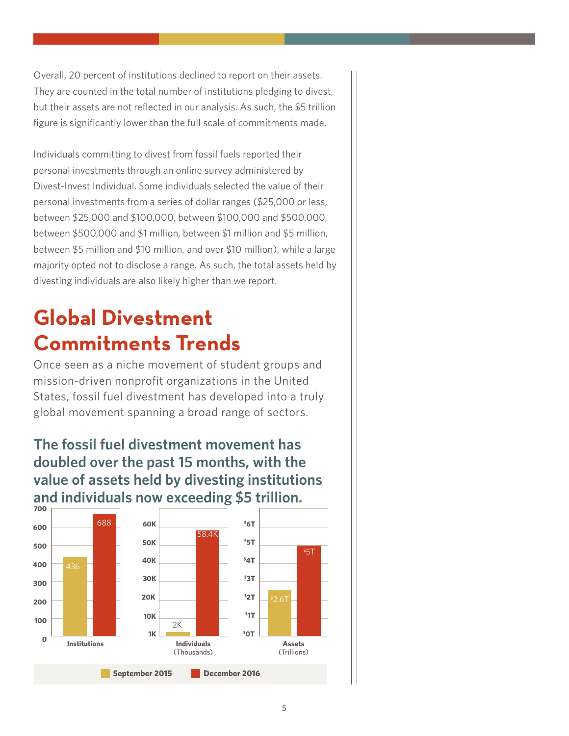Overall, 20 percent of institutions declined to report on their assets. They are counted in the total number of institutions pledging to divest, but their assets are not reflected in our analysis. As such, the \$5 trillion figure is significantly lower than the full scale of commitments made.

Individuals committing to divest from fossil fuels reported their personal investments through an online survey administered by Divest-Invest Individual. Some individuals selected the value of their personal investments from a series of dollar ranges (\$25,000 or less, between \$25,000 and \$100,000, between \$100,000 and \$500,000, between \$500,000 and \$1 million, between \$1 million and \$5 million, between \$5 million and \$10 million, and over \$10 million), while a large majority opted not to disclose a range. As such, the total assets held by divesting individuals are also likely higher than we report.

## **Global Divestment Commitments Trends**

Once seen as a niche movement of student groups and mission-driven nonprofit organizations in the United States, fossil fuel divestment has developed into a truly global movement spanning a broad range of sectors.

### **The fossil fuel divestment movement has doubled over the past 15 months, with the value of assets held by divesting institutions and individuals now exceeding \$5 trillion.**

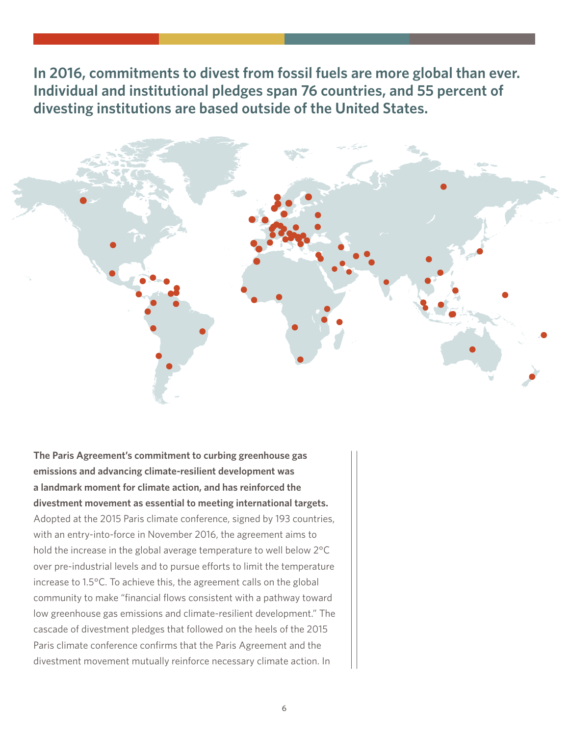**In 2016, commitments to divest from fossil fuels are more global than ever. Individual and institutional pledges span 76 countries, and 55 percent of divesting institutions are based outside of the United States.**



**The Paris Agreement's commitment to curbing greenhouse gas emissions and advancing climate-resilient development was a landmark moment for climate action, and has reinforced the divestment movement as essential to meeting international targets.** Adopted at the 2015 Paris climate conference, signed by 193 countries, with an entry-into-force in November 2016, the agreement aims to hold the increase in the global average temperature to well below 2°C over pre-industrial levels and to pursue efforts to limit the temperature increase to 1.5°C. To achieve this, the agreement calls on the global community to make "financial flows consistent with a pathway toward low greenhouse gas emissions and climate-resilient development." The cascade of divestment pledges that followed on the heels of the 2015 Paris climate conference confirms that the Paris Agreement and the divestment movement mutually reinforce necessary climate action. In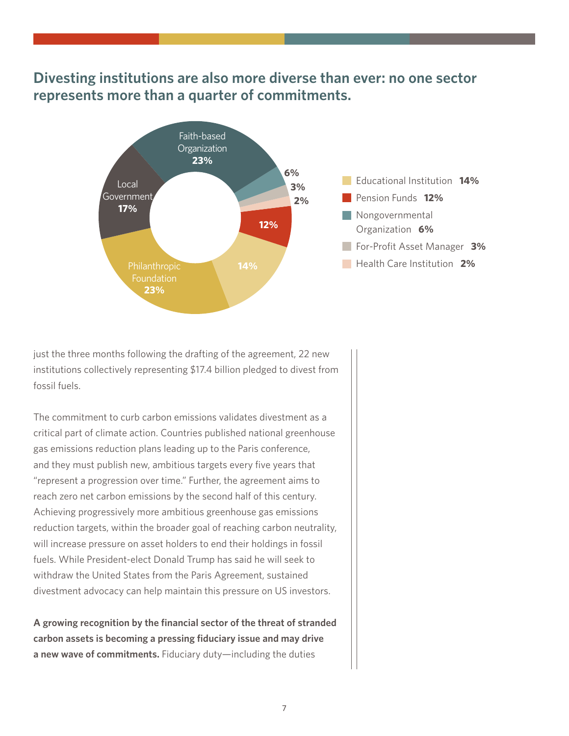### **Divesting institutions are also more diverse than ever: no one sector represents more than a quarter of commitments.**



just the three months following the drafting of the agreement, 22 new institutions collectively representing \$17.4 billion pledged to divest from fossil fuels.

The commitment to curb carbon emissions validates divestment as a critical part of climate action. Countries published national greenhouse gas emissions reduction plans leading up to the Paris conference, and they must publish new, ambitious targets every five years that "represent a progression over time." Further, the agreement aims to reach zero net carbon emissions by the second half of this century. Achieving progressively more ambitious greenhouse gas emissions reduction targets, within the broader goal of reaching carbon neutrality, will increase pressure on asset holders to end their holdings in fossil fuels. While President-elect Donald Trump has said he will seek to withdraw the United States from the Paris Agreement, sustained divestment advocacy can help maintain this pressure on US investors.

**A growing recognition by the financial sector of the threat of stranded carbon assets is becoming a pressing fiduciary issue and may drive a new wave of commitments.** Fiduciary duty—including the duties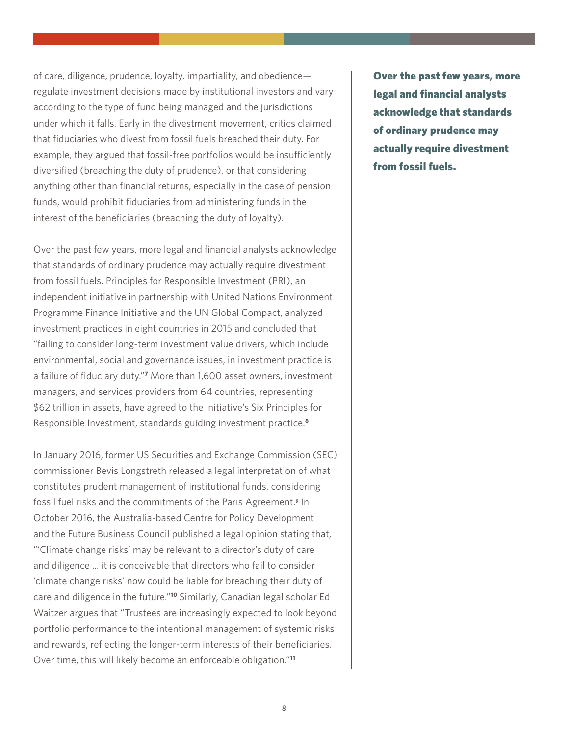of care, diligence, prudence, loyalty, impartiality, and obedience regulate investment decisions made by institutional investors and vary according to the type of fund being managed and the jurisdictions under which it falls. Early in the divestment movement, critics claimed that fiduciaries who divest from fossil fuels breached their duty. For example, they argued that fossil-free portfolios would be insufficiently diversified (breaching the duty of prudence), or that considering anything other than financial returns, especially in the case of pension funds, would prohibit fiduciaries from administering funds in the interest of the beneficiaries (breaching the duty of loyalty).

Over the past few years, more legal and financial analysts acknowledge that standards of ordinary prudence may actually require divestment from fossil fuels. Principles for Responsible Investment (PRI), an independent initiative in partnership with United Nations Environment Programme Finance Initiative and the UN Global Compact, analyzed investment practices in eight countries in 2015 and concluded that "failing to consider long-term investment value drivers, which include environmental, social and governance issues, in investment practice is a failure of fiduciary duty."**<sup>7</sup>** More than 1,600 asset owners, investment managers, and services providers from 64 countries, representing \$62 trillion in assets, have agreed to the initiative's Six Principles for Responsible Investment, standards guiding investment practice.**<sup>8</sup>**

In January 2016, former US Securities and Exchange Commission (SEC) commissioner Bevis Longstreth released a legal interpretation of what constitutes prudent management of institutional funds, considering fossil fuel risks and the commitments of the Paris Agreement. **<sup>9</sup>** In October 2016, the Australia-based Centre for Policy Development and the Future Business Council published a legal opinion stating that, "'Climate change risks' may be relevant to a director's duty of care and diligence ... it is conceivable that directors who fail to consider 'climate change risks' now could be liable for breaching their duty of care and diligence in the future."**<sup>10</sup>** Similarly, Canadian legal scholar Ed Waitzer argues that "Trustees are increasingly expected to look beyond portfolio performance to the intentional management of systemic risks and rewards, reflecting the longer-term interests of their beneficiaries. Over time, this will likely become an enforceable obligation."**<sup>11</sup>**

Over the past few years, more legal and financial analysts acknowledge that standards of ordinary prudence may actually require divestment from fossil fuels.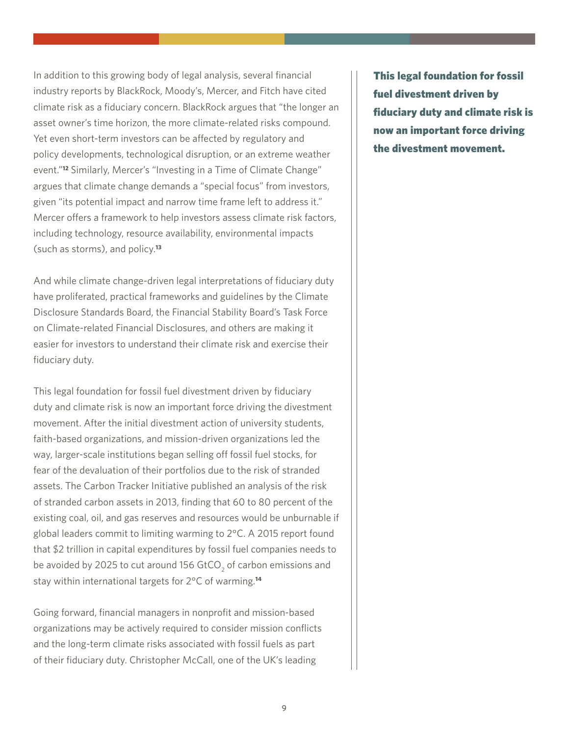In addition to this growing body of legal analysis, several financial industry reports by BlackRock, Moody's, Mercer, and Fitch have cited climate risk as a fiduciary concern. BlackRock argues that "the longer an asset owner's time horizon, the more climate-related risks compound. Yet even short-term investors can be affected by regulatory and policy developments, technological disruption, or an extreme weather event."**<sup>12</sup>** Similarly, Mercer's "Investing in a Time of Climate Change" argues that climate change demands a "special focus" from investors, given "its potential impact and narrow time frame left to address it." Mercer offers a framework to help investors assess climate risk factors, including technology, resource availability, environmental impacts (such as storms), and policy.**<sup>13</sup>**

And while climate change-driven legal interpretations of fiduciary duty have proliferated, practical frameworks and guidelines by the Climate Disclosure Standards Board, the Financial Stability Board's Task Force on Climate-related Financial Disclosures, and others are making it easier for investors to understand their climate risk and exercise their fiduciary duty.

This legal foundation for fossil fuel divestment driven by fiduciary duty and climate risk is now an important force driving the divestment movement. After the initial divestment action of university students, faith-based organizations, and mission-driven organizations led the way, larger-scale institutions began selling off fossil fuel stocks, for fear of the devaluation of their portfolios due to the risk of stranded assets. The Carbon Tracker Initiative published an analysis of the risk of stranded carbon assets in 2013, finding that 60 to 80 percent of the existing coal, oil, and gas reserves and resources would be unburnable if global leaders commit to limiting warming to 2°C. A 2015 report found that \$2 trillion in capital expenditures by fossil fuel companies needs to be avoided by 2025 to cut around 156 GtCO $_{\rm 2}$  of carbon emissions and stay within international targets for 2°C of warming.**<sup>14</sup>**

Going forward, financial managers in nonprofit and mission-based organizations may be actively required to consider mission conflicts and the long-term climate risks associated with fossil fuels as part of their fiduciary duty. Christopher McCall, one of the UK's leading

This legal foundation for fossil fuel divestment driven by fiduciary duty and climate risk is now an important force driving the divestment movement.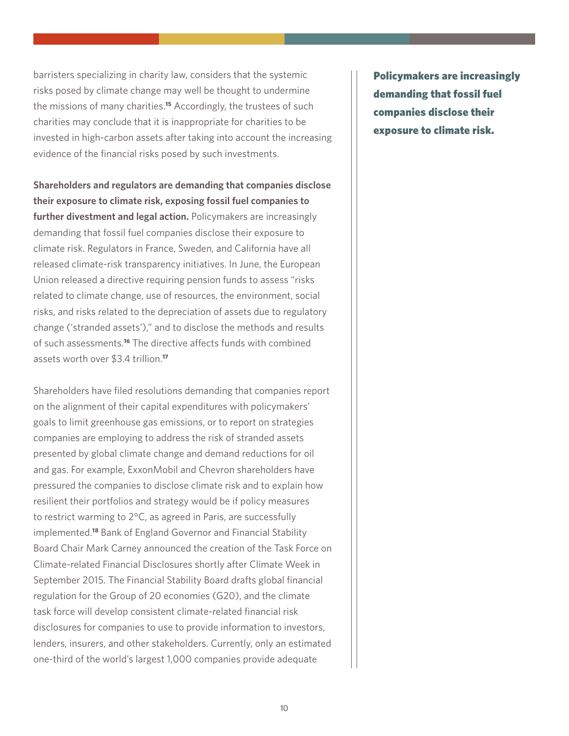barristers specializing in charity law, considers that the systemic risks posed by climate change may well be thought to undermine the missions of many charities.**<sup>15</sup>** Accordingly, the trustees of such charities may conclude that it is inappropriate for charities to be invested in high-carbon assets after taking into account the increasing evidence of the financial risks posed by such investments.

**Shareholders and regulators are demanding that companies disclose their exposure to climate risk, exposing fossil fuel companies to further divestment and legal action.** Policymakers are increasingly demanding that fossil fuel companies disclose their exposure to climate risk. Regulators in France, Sweden, and California have all released climate-risk transparency initiatives. In June, the European Union released a directive requiring pension funds to assess "risks related to climate change, use of resources, the environment, social risks, and risks related to the depreciation of assets due to regulatory change ('stranded assets')," and to disclose the methods and results of such assessments.**<sup>16</sup>** The directive affects funds with combined assets worth over \$3.4 trillion.**<sup>17</sup>**

Shareholders have filed resolutions demanding that companies report on the alignment of their capital expenditures with policymakers' goals to limit greenhouse gas emissions, or to report on strategies companies are employing to address the risk of stranded assets presented by global climate change and demand reductions for oil and gas. For example, ExxonMobil and Chevron shareholders have pressured the companies to disclose climate risk and to explain how resilient their portfolios and strategy would be if policy measures to restrict warming to 2°C, as agreed in Paris, are successfully implemented.**<sup>18</sup>** Bank of England Governor and Financial Stability Board Chair Mark Carney announced the creation of the Task Force on Climate-related Financial Disclosures shortly after Climate Week in September 2015. The Financial Stability Board drafts global financial regulation for the Group of 20 economies (G20), and the climate task force will develop consistent climate-related financial risk disclosures for companies to use to provide information to investors, lenders, insurers, and other stakeholders. Currently, only an estimated one-third of the world's largest 1,000 companies provide adequate

Policymakers are increasingly demanding that fossil fuel companies disclose their exposure to climate risk.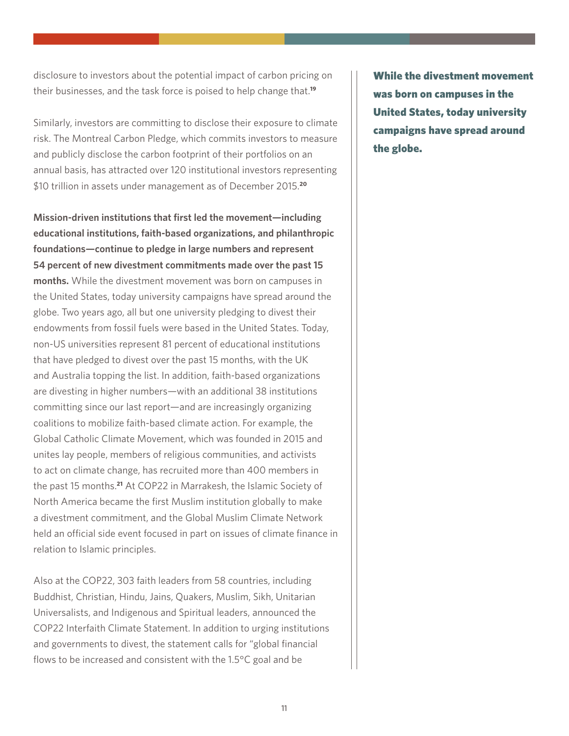disclosure to investors about the potential impact of carbon pricing on their businesses, and the task force is poised to help change that.**<sup>19</sup>**

Similarly, investors are committing to disclose their exposure to climate risk. The Montreal Carbon Pledge, which commits investors to measure and publicly disclose the carbon footprint of their portfolios on an annual basis, has attracted over 120 institutional investors representing \$10 trillion in assets under management as of December 2015.**<sup>20</sup>**

**Mission-driven institutions that first led the movement—including educational institutions, faith-based organizations, and philanthropic foundations—continue to pledge in large numbers and represent 54 percent of new divestment commitments made over the past 15 months.** While the divestment movement was born on campuses in the United States, today university campaigns have spread around the globe. Two years ago, all but one university pledging to divest their endowments from fossil fuels were based in the United States. Today, non-US universities represent 81 percent of educational institutions that have pledged to divest over the past 15 months, with the UK and Australia topping the list. In addition, faith-based organizations are divesting in higher numbers—with an additional 38 institutions committing since our last report—and are increasingly organizing coalitions to mobilize faith-based climate action. For example, the Global Catholic Climate Movement, which was founded in 2015 and unites lay people, members of religious communities, and activists to act on climate change, has recruited more than 400 members in the past 15 months.**<sup>21</sup>** At COP22 in Marrakesh, the Islamic Society of North America became the first Muslim institution globally to make a divestment commitment, and the Global Muslim Climate Network held an official side event focused in part on issues of climate finance in relation to Islamic principles.

Also at the COP22, 303 faith leaders from 58 countries, including Buddhist, Christian, Hindu, Jains, Quakers, Muslim, Sikh, Unitarian Universalists, and Indigenous and Spiritual leaders, announced the COP22 Interfaith Climate Statement. In addition to urging institutions and governments to divest, the statement calls for "global financial flows to be increased and consistent with the 1.5°C goal and be

While the divestment movement was born on campuses in the United States, today university campaigns have spread around the globe.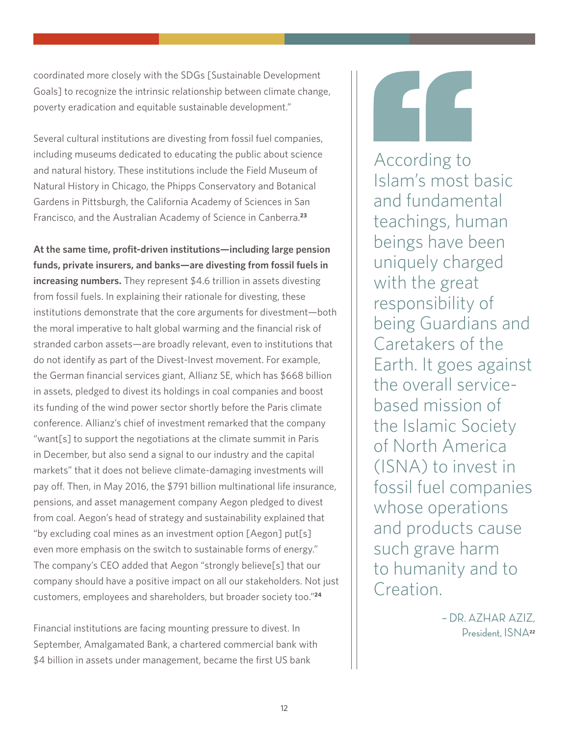coordinated more closely with the SDGs [Sustainable Development Goals] to recognize the intrinsic relationship between climate change, poverty eradication and equitable sustainable development."

Several cultural institutions are divesting from fossil fuel companies, including museums dedicated to educating the public about science and natural history. These institutions include the Field Museum of Natural History in Chicago, the Phipps Conservatory and Botanical Gardens in Pittsburgh, the California Academy of Sciences in San Francisco, and the Australian Academy of Science in Canberra.**<sup>23</sup>**

**At the same time, profit-driven institutions—including large pension funds, private insurers, and banks—are divesting from fossil fuels in increasing numbers.** They represent \$4.6 trillion in assets divesting from fossil fuels. In explaining their rationale for divesting, these institutions demonstrate that the core arguments for divestment—both the moral imperative to halt global warming and the financial risk of stranded carbon assets—are broadly relevant, even to institutions that do not identify as part of the Divest-Invest movement. For example, the German financial services giant, Allianz SE, which has \$668 billion in assets, pledged to divest its holdings in coal companies and boost its funding of the wind power sector shortly before the Paris climate conference. Allianz's chief of investment remarked that the company "want[s] to support the negotiations at the climate summit in Paris in December, but also send a signal to our industry and the capital markets" that it does not believe climate-damaging investments will pay off. Then, in May 2016, the \$791 billion multinational life insurance, pensions, and asset management company Aegon pledged to divest from coal. Aegon's head of strategy and sustainability explained that "by excluding coal mines as an investment option [Aegon] put[s] even more emphasis on the switch to sustainable forms of energy." The company's CEO added that Aegon "strongly believe[s] that our company should have a positive impact on all our stakeholders. Not just customers, employees and shareholders, but broader society too."**<sup>24</sup>**

Financial institutions are facing mounting pressure to divest. In September, Amalgamated Bank, a chartered commercial bank with \$4 billion in assets under management, became the first US bank

According to Islam's most basic and fundamental teachings, human beings have been uniquely charged with the great responsibility of being Guardians and Caretakers of the Earth. It goes against the overall servicebased mission of the Islamic Society of North America (ISNA) to invest in fossil fuel companies whose operations and products cause such grave harm to humanity and to Creation.

> – DR. AZHAR AZIZ, President, ISNA**22**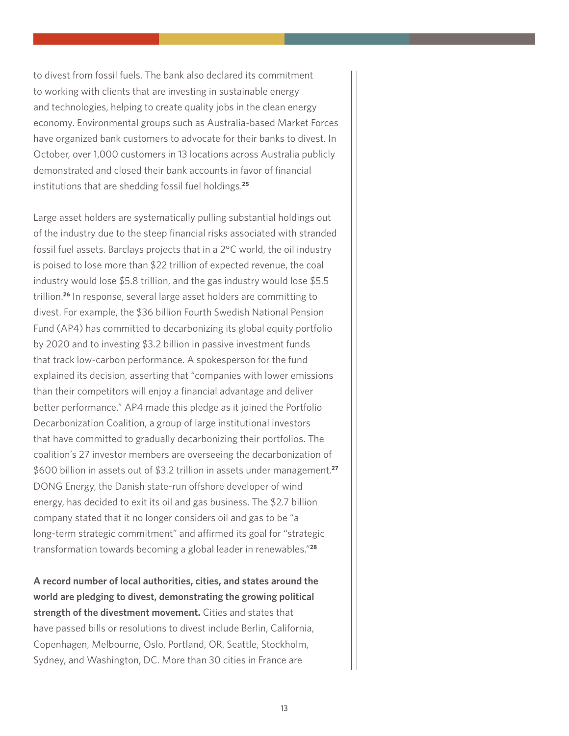to divest from fossil fuels. The bank also declared its commitment to working with clients that are investing in sustainable energy and technologies, helping to create quality jobs in the clean energy economy. Environmental groups such as Australia-based Market Forces have organized bank customers to advocate for their banks to divest. In October, over 1,000 customers in 13 locations across Australia publicly demonstrated and closed their bank accounts in favor of financial institutions that are shedding fossil fuel holdings.**<sup>25</sup>**

Large asset holders are systematically pulling substantial holdings out of the industry due to the steep financial risks associated with stranded fossil fuel assets. Barclays projects that in a 2°C world, the oil industry is poised to lose more than \$22 trillion of expected revenue, the coal industry would lose \$5.8 trillion, and the gas industry would lose \$5.5 trillion.**<sup>26</sup>** In response, several large asset holders are committing to divest. For example, the \$36 billion Fourth Swedish National Pension Fund (AP4) has committed to decarbonizing its global equity portfolio by 2020 and to investing \$3.2 billion in passive investment funds that track low-carbon performance. A spokesperson for the fund explained its decision, asserting that "companies with lower emissions than their competitors will enjoy a financial advantage and deliver better performance." AP4 made this pledge as it joined the Portfolio Decarbonization Coalition, a group of large institutional investors that have committed to gradually decarbonizing their portfolios. The coalition's 27 investor members are overseeing the decarbonization of \$600 billion in assets out of \$3.2 trillion in assets under management.**<sup>27</sup>** DONG Energy, the Danish state-run offshore developer of wind energy, has decided to exit its oil and gas business. The \$2.7 billion company stated that it no longer considers oil and gas to be "a long-term strategic commitment" and affirmed its goal for "strategic transformation towards becoming a global leader in renewables."**<sup>28</sup>**

**A record number of local authorities, cities, and states around the world are pledging to divest, demonstrating the growing political strength of the divestment movement.** Cities and states that have passed bills or resolutions to divest include Berlin, California, Copenhagen, Melbourne, Oslo, Portland, OR, Seattle, Stockholm, Sydney, and Washington, DC. More than 30 cities in France are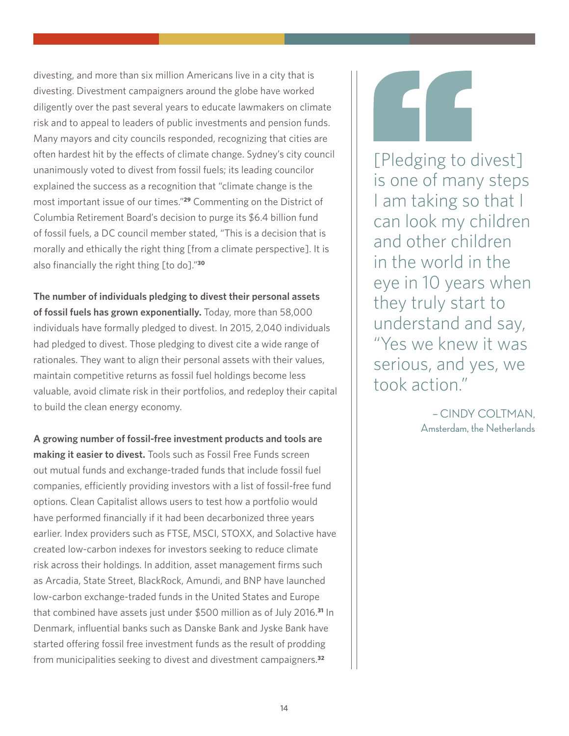divesting, and more than six million Americans live in a city that is divesting. Divestment campaigners around the globe have worked diligently over the past several years to educate lawmakers on climate risk and to appeal to leaders of public investments and pension funds. Many mayors and city councils responded, recognizing that cities are often hardest hit by the effects of climate change. Sydney's city council unanimously voted to divest from fossil fuels; its leading councilor explained the success as a recognition that "climate change is the most important issue of our times."**<sup>29</sup>** Commenting on the District of Columbia Retirement Board's decision to purge its \$6.4 billion fund of fossil fuels, a DC council member stated, "This is a decision that is morally and ethically the right thing [from a climate perspective]. It is also financially the right thing [to do]."**<sup>30</sup>**

**The number of individuals pledging to divest their personal assets of fossil fuels has grown exponentially.** Today, more than 58,000 individuals have formally pledged to divest. In 2015, 2,040 individuals had pledged to divest. Those pledging to divest cite a wide range of rationales. They want to align their personal assets with their values, maintain competitive returns as fossil fuel holdings become less valuable, avoid climate risk in their portfolios, and redeploy their capital to build the clean energy economy.

**A growing number of fossil-free investment products and tools are making it easier to divest.** Tools such as Fossil Free Funds screen out mutual funds and exchange-traded funds that include fossil fuel companies, efficiently providing investors with a list of fossil-free fund options. Clean Capitalist allows users to test how a portfolio would have performed financially if it had been decarbonized three years earlier. Index providers such as FTSE, MSCI, STOXX, and Solactive have created low-carbon indexes for investors seeking to reduce climate risk across their holdings. In addition, asset management firms such as Arcadia, State Street, BlackRock, Amundi, and BNP have launched low-carbon exchange-traded funds in the United States and Europe that combined have assets just under \$500 million as of July 2016.**<sup>31</sup>** In Denmark, influential banks such as Danske Bank and Jyske Bank have started offering fossil free investment funds as the result of prodding from municipalities seeking to divest and divestment campaigners.**<sup>32</sup>**

[Pledging to divest] is one of many steps I am taking so that I can look my children and other children in the world in the eye in 10 years when they truly start to understand and say, "Yes we knew it was serious, and yes, we took action."

> – CINDY COLTMAN, Amsterdam, the Netherlands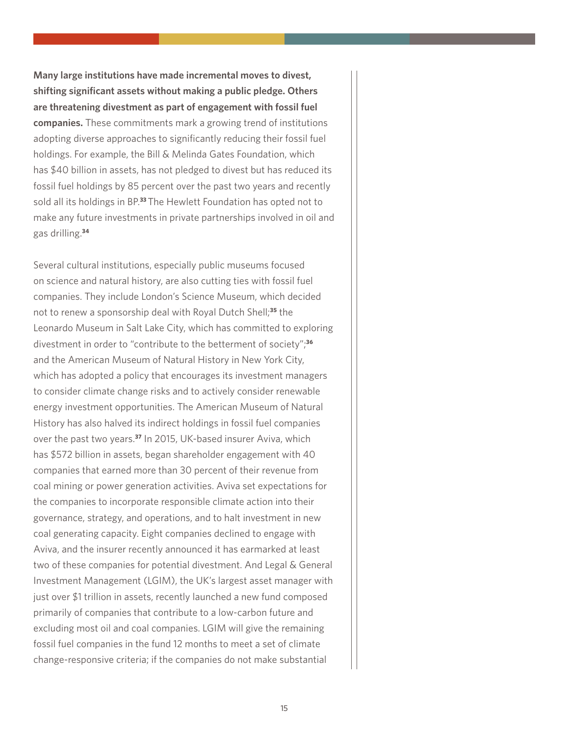**Many large institutions have made incremental moves to divest, shifting significant assets without making a public pledge. Others are threatening divestment as part of engagement with fossil fuel companies.** These commitments mark a growing trend of institutions adopting diverse approaches to significantly reducing their fossil fuel holdings. For example, the Bill & Melinda Gates Foundation, which has \$40 billion in assets, has not pledged to divest but has reduced its fossil fuel holdings by 85 percent over the past two years and recently sold all its holdings in BP.**<sup>33</sup>**The Hewlett Foundation has opted not to make any future investments in private partnerships involved in oil and gas drilling.**<sup>34</sup>**

Several cultural institutions, especially public museums focused on science and natural history, are also cutting ties with fossil fuel companies. They include London's Science Museum, which decided not to renew a sponsorship deal with Royal Dutch Shell;**<sup>35</sup>** the Leonardo Museum in Salt Lake City, which has committed to exploring divestment in order to "contribute to the betterment of society";**<sup>36</sup>** and the American Museum of Natural History in New York City, which has adopted a policy that encourages its investment managers to consider climate change risks and to actively consider renewable energy investment opportunities. The American Museum of Natural History has also halved its indirect holdings in fossil fuel companies over the past two years.**<sup>37</sup>** In 2015, UK-based insurer Aviva, which has \$572 billion in assets, began shareholder engagement with 40 companies that earned more than 30 percent of their revenue from coal mining or power generation activities. Aviva set expectations for the companies to incorporate responsible climate action into their governance, strategy, and operations, and to halt investment in new coal generating capacity. Eight companies declined to engage with Aviva, and the insurer recently announced it has earmarked at least two of these companies for potential divestment. And Legal & General Investment Management (LGIM), the UK's largest asset manager with just over \$1 trillion in assets, recently launched a new fund composed primarily of companies that contribute to a low-carbon future and excluding most oil and coal companies. LGIM will give the remaining fossil fuel companies in the fund 12 months to meet a set of climate change-responsive criteria; if the companies do not make substantial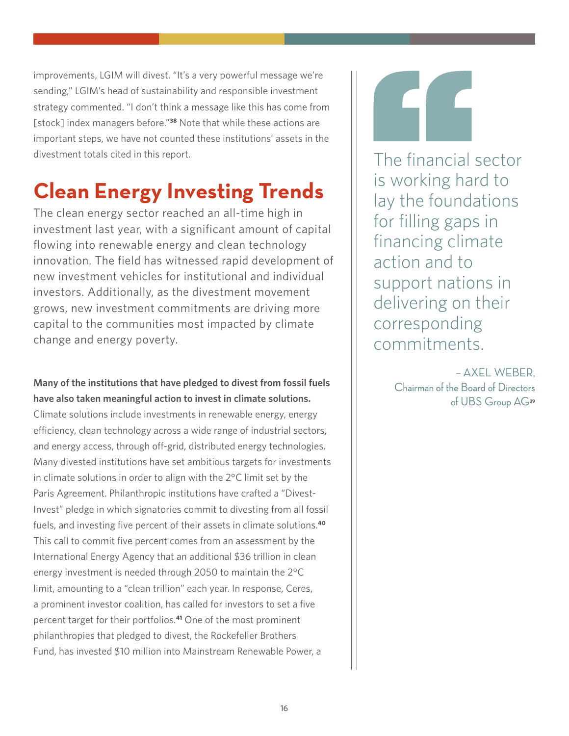improvements, LGIM will divest. "It's a very powerful message we're sending," LGIM's head of sustainability and responsible investment strategy commented. "I don't think a message like this has come from [stock] index managers before."**<sup>38</sup>** Note that while these actions are important steps, we have not counted these institutions' assets in the divestment totals cited in this report.

## **Clean Energy Investing Trends**

The clean energy sector reached an all-time high in investment last year, with a significant amount of capital flowing into renewable energy and clean technology innovation. The field has witnessed rapid development of new investment vehicles for institutional and individual investors. Additionally, as the divestment movement grows, new investment commitments are driving more capital to the communities most impacted by climate change and energy poverty.

### **Many of the institutions that have pledged to divest from fossil fuels have also taken meaningful action to invest in climate solutions.**

Climate solutions include investments in renewable energy, energy efficiency, clean technology across a wide range of industrial sectors, and energy access, through off-grid, distributed energy technologies. Many divested institutions have set ambitious targets for investments in climate solutions in order to align with the 2°C limit set by the Paris Agreement. Philanthropic institutions have crafted a "Divest-Invest" pledge in which signatories commit to divesting from all fossil fuels, and investing five percent of their assets in climate solutions.**<sup>40</sup>** This call to commit five percent comes from an assessment by the International Energy Agency that an additional \$36 trillion in clean energy investment is needed through 2050 to maintain the 2°C limit, amounting to a "clean trillion" each year. In response, Ceres, a prominent investor coalition, has called for investors to set a five percent target for their portfolios.**<sup>41</sup>** One of the most prominent philanthropies that pledged to divest, the Rockefeller Brothers Fund, has invested \$10 million into Mainstream Renewable Power, a

The financial sector is working hard to lay the foundations for filling gaps in financing climate action and to support nations in delivering on their corresponding commitments.

> – AXEL WEBER, Chairman of the Board of Directors of UBS Group AG**39**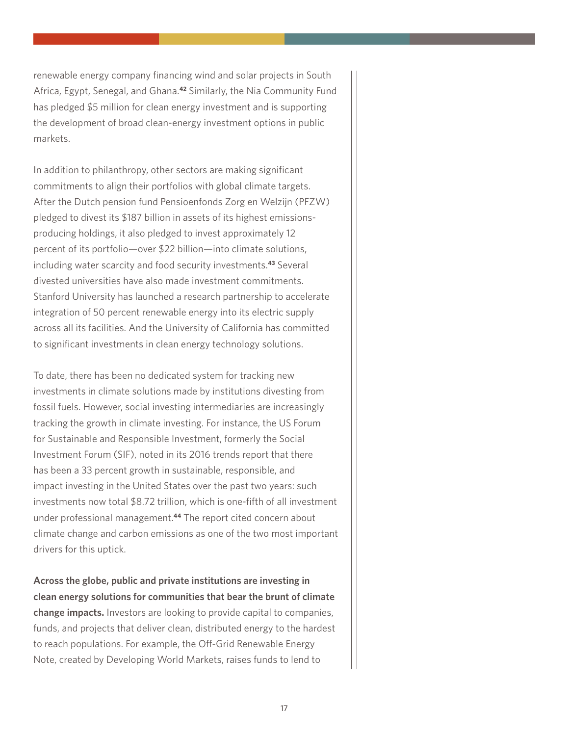renewable energy company financing wind and solar projects in South Africa, Egypt, Senegal, and Ghana.**<sup>42</sup>** Similarly, the Nia Community Fund has pledged \$5 million for clean energy investment and is supporting the development of broad clean-energy investment options in public markets.

In addition to philanthropy, other sectors are making significant commitments to align their portfolios with global climate targets. After the Dutch pension fund Pensioenfonds Zorg en Welzijn (PFZW) pledged to divest its \$187 billion in assets of its highest emissionsproducing holdings, it also pledged to invest approximately 12 percent of its portfolio—over \$22 billion—into climate solutions, including water scarcity and food security investments.**<sup>43</sup>** Several divested universities have also made investment commitments. Stanford University has launched a research partnership to accelerate integration of 50 percent renewable energy into its electric supply across all its facilities. And the University of California has committed to significant investments in clean energy technology solutions.

To date, there has been no dedicated system for tracking new investments in climate solutions made by institutions divesting from fossil fuels. However, social investing intermediaries are increasingly tracking the growth in climate investing. For instance, the US Forum for Sustainable and Responsible Investment, formerly the Social Investment Forum (SIF), noted in its 2016 trends report that there has been a 33 percent growth in sustainable, responsible, and impact investing in the United States over the past two years: such investments now total \$8.72 trillion, which is one-fifth of all investment under professional management.**<sup>44</sup>** The report cited concern about climate change and carbon emissions as one of the two most important drivers for this uptick.

**Across the globe, public and private institutions are investing in clean energy solutions for communities that bear the brunt of climate change impacts.** Investors are looking to provide capital to companies, funds, and projects that deliver clean, distributed energy to the hardest to reach populations. For example, the Off-Grid Renewable Energy Note, created by Developing World Markets, raises funds to lend to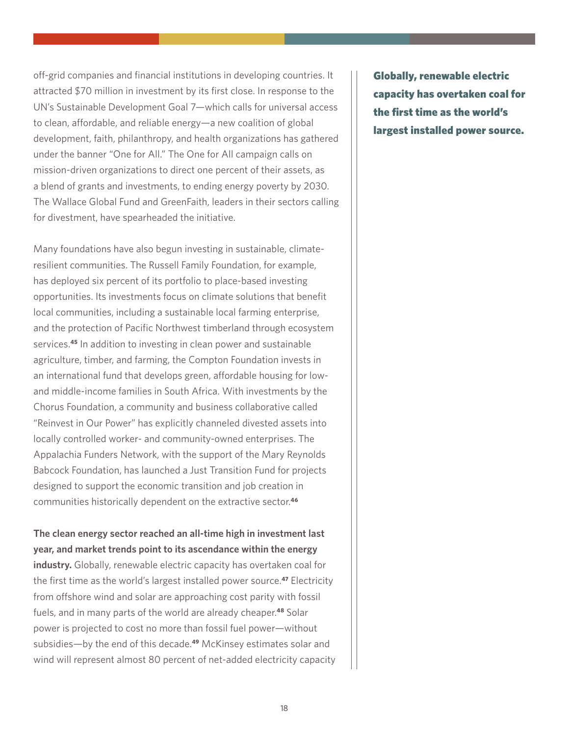off-grid companies and financial institutions in developing countries. It attracted \$70 million in investment by its first close. In response to the UN's Sustainable Development Goal 7—which calls for universal access to clean, affordable, and reliable energy—a new coalition of global development, faith, philanthropy, and health organizations has gathered under the banner "One for All." The One for All campaign calls on mission-driven organizations to direct one percent of their assets, as a blend of grants and investments, to ending energy poverty by 2030. The Wallace Global Fund and GreenFaith, leaders in their sectors calling for divestment, have spearheaded the initiative.

Many foundations have also begun investing in sustainable, climateresilient communities. The Russell Family Foundation, for example, has deployed six percent of its portfolio to place-based investing opportunities. Its investments focus on climate solutions that benefit local communities, including a sustainable local farming enterprise, and the protection of Pacific Northwest timberland through ecosystem services.**<sup>45</sup>** In addition to investing in clean power and sustainable agriculture, timber, and farming, the Compton Foundation invests in an international fund that develops green, affordable housing for lowand middle-income families in South Africa. With investments by the Chorus Foundation, a community and business collaborative called "Reinvest in Our Power" has explicitly channeled divested assets into locally controlled worker- and community-owned enterprises. The Appalachia Funders Network, with the support of the Mary Reynolds Babcock Foundation, has launched a Just Transition Fund for projects designed to support the economic transition and job creation in communities historically dependent on the extractive sector.**<sup>46</sup>**

**The clean energy sector reached an all-time high in investment last year, and market trends point to its ascendance within the energy** 

**industry.** Globally, renewable electric capacity has overtaken coal for the first time as the world's largest installed power source.**<sup>47</sup>** Electricity from offshore wind and solar are approaching cost parity with fossil fuels, and in many parts of the world are already cheaper.**<sup>48</sup>** Solar power is projected to cost no more than fossil fuel power—without subsidies—by the end of this decade.**<sup>49</sup>** McKinsey estimates solar and wind will represent almost 80 percent of net-added electricity capacity Globally, renewable electric capacity has overtaken coal for the first time as the world's largest installed power source.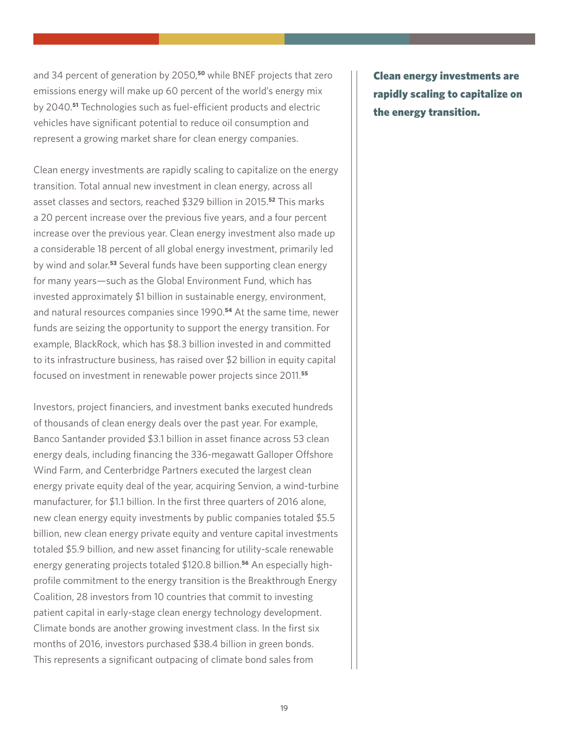and 34 percent of generation by 2050,**<sup>50</sup>** while BNEF projects that zero emissions energy will make up 60 percent of the world's energy mix by 2040.**<sup>51</sup>** Technologies such as fuel-efficient products and electric vehicles have significant potential to reduce oil consumption and represent a growing market share for clean energy companies.

Clean energy investments are rapidly scaling to capitalize on the energy transition. Total annual new investment in clean energy, across all asset classes and sectors, reached \$329 billion in 2015.**<sup>52</sup>** This marks a 20 percent increase over the previous five years, and a four percent increase over the previous year. Clean energy investment also made up a considerable 18 percent of all global energy investment, primarily led by wind and solar.**<sup>53</sup>** Several funds have been supporting clean energy for many years—such as the Global Environment Fund, which has invested approximately \$1 billion in sustainable energy, environment, and natural resources companies since 1990.**<sup>54</sup>** At the same time, newer funds are seizing the opportunity to support the energy transition. For example, BlackRock, which has \$8.3 billion invested in and committed to its infrastructure business, has raised over \$2 billion in equity capital focused on investment in renewable power projects since 2011.**<sup>55</sup>**

Investors, project financiers, and investment banks executed hundreds of thousands of clean energy deals over the past year. For example, Banco Santander provided \$3.1 billion in asset finance across 53 clean energy deals, including financing the 336-megawatt Galloper Offshore Wind Farm, and Centerbridge Partners executed the largest clean energy private equity deal of the year, acquiring Senvion, a wind-turbine manufacturer, for \$1.1 billion. In the first three quarters of 2016 alone, new clean energy equity investments by public companies totaled \$5.5 billion, new clean energy private equity and venture capital investments totaled \$5.9 billion, and new asset financing for utility-scale renewable energy generating projects totaled \$120.8 billion.**56** An especially highprofile commitment to the energy transition is the Breakthrough Energy Coalition, 28 investors from 10 countries that commit to investing patient capital in early-stage clean energy technology development. Climate bonds are another growing investment class. In the first six months of 2016, investors purchased \$38.4 billion in green bonds. This represents a significant outpacing of climate bond sales from

Clean energy investments are rapidly scaling to capitalize on the energy transition.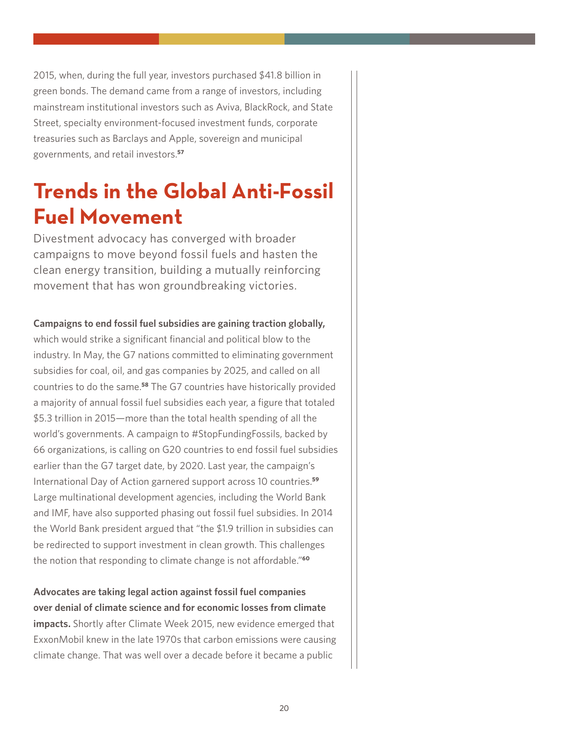2015, when, during the full year, investors purchased \$41.8 billion in green bonds. The demand came from a range of investors, including mainstream institutional investors such as Aviva, BlackRock, and State Street, specialty environment-focused investment funds, corporate treasuries such as Barclays and Apple, sovereign and municipal governments, and retail investors.**<sup>57</sup>**

## **Trends in the Global Anti-Fossil Fuel Movement**

Divestment advocacy has converged with broader campaigns to move beyond fossil fuels and hasten the clean energy transition, building a mutually reinforcing movement that has won groundbreaking victories.

### **Campaigns to end fossil fuel subsidies are gaining traction globally,**

which would strike a significant financial and political blow to the industry. In May, the G7 nations committed to eliminating government subsidies for coal, oil, and gas companies by 2025, and called on all countries to do the same.**<sup>58</sup>** The G7 countries have historically provided a majority of annual fossil fuel subsidies each year, a figure that totaled \$5.3 trillion in 2015—more than the total health spending of all the world's governments. A campaign to #StopFundingFossils, backed by 66 organizations, is calling on G20 countries to end fossil fuel subsidies earlier than the G7 target date, by 2020. Last year, the campaign's International Day of Action garnered support across 10 countries.**<sup>59</sup>** Large multinational development agencies, including the World Bank and IMF, have also supported phasing out fossil fuel subsidies. In 2014 the World Bank president argued that "the \$1.9 trillion in subsidies can be redirected to support investment in clean growth. This challenges the notion that responding to climate change is not affordable."**<sup>60</sup>**

**Advocates are taking legal action against fossil fuel companies over denial of climate science and for economic losses from climate impacts.** Shortly after Climate Week 2015, new evidence emerged that ExxonMobil knew in the late 1970s that carbon emissions were causing climate change. That was well over a decade before it became a public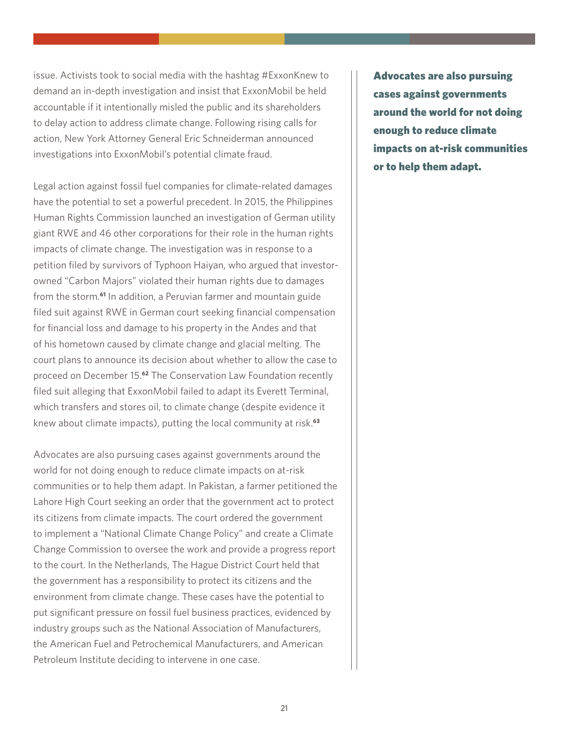issue. Activists took to social media with the hashtag #ExxonKnew to demand an in-depth investigation and insist that ExxonMobil be held accountable if it intentionally misled the public and its shareholders to delay action to address climate change. Following rising calls for action, New York Attorney General Eric Schneiderman announced investigations into ExxonMobil's potential climate fraud.

Legal action against fossil fuel companies for climate-related damages have the potential to set a powerful precedent. In 2015, the Philippines Human Rights Commission launched an investigation of German utility giant RWE and 46 other corporations for their role in the human rights impacts of climate change. The investigation was in response to a petition filed by survivors of Typhoon Haiyan, who argued that investorowned "Carbon Majors" violated their human rights due to damages from the storm.**<sup>61</sup>** In addition, a Peruvian farmer and mountain guide filed suit against RWE in German court seeking financial compensation for financial loss and damage to his property in the Andes and that of his hometown caused by climate change and glacial melting. The court plans to announce its decision about whether to allow the case to proceed on December 15.**<sup>62</sup>** The Conservation Law Foundation recently filed suit alleging that ExxonMobil failed to adapt its Everett Terminal, which transfers and stores oil, to climate change (despite evidence it knew about climate impacts), putting the local community at risk.**<sup>63</sup>**

Advocates are also pursuing cases against governments around the world for not doing enough to reduce climate impacts on at-risk communities or to help them adapt. In Pakistan, a farmer petitioned the Lahore High Court seeking an order that the government act to protect its citizens from climate impacts. The court ordered the government to implement a "National Climate Change Policy" and create a Climate Change Commission to oversee the work and provide a progress report to the court. In the Netherlands, The Hague District Court held that the government has a responsibility to protect its citizens and the environment from climate change. These cases have the potential to put significant pressure on fossil fuel business practices, evidenced by industry groups such as the National Association of Manufacturers, the American Fuel and Petrochemical Manufacturers, and American Petroleum Institute deciding to intervene in one case.

Advocates are also pursuing cases against governments around the world for not doing enough to reduce climate impacts on at-risk communities or to help them adapt.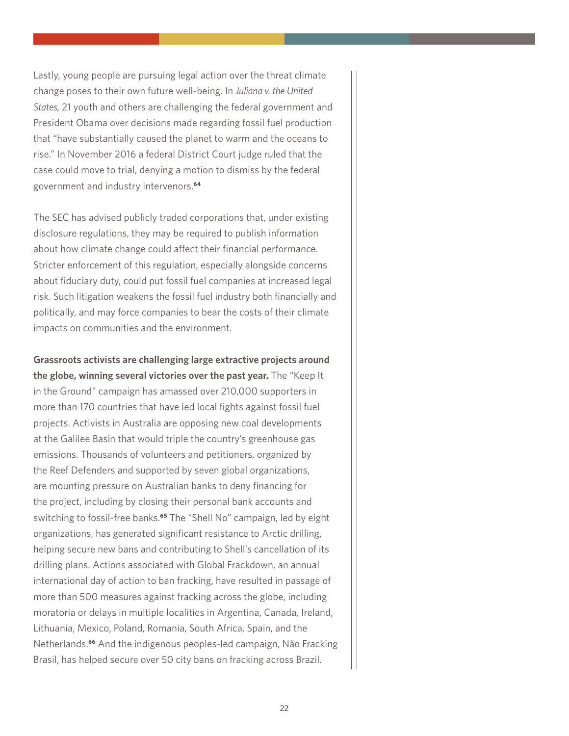Lastly, young people are pursuing legal action over the threat climate change poses to their own future well-being. In *Juliana v. the United States*, 21 youth and others are challenging the federal government and President Obama over decisions made regarding fossil fuel production that "have substantially caused the planet to warm and the oceans to rise." In November 2016 a federal District Court judge ruled that the case could move to trial, denying a motion to dismiss by the federal government and industry intervenors.**<sup>64</sup>**

The SEC has advised publicly traded corporations that, under existing disclosure regulations, they may be required to publish information about how climate change could affect their financial performance. Stricter enforcement of this regulation, especially alongside concerns about fiduciary duty, could put fossil fuel companies at increased legal risk. Such litigation weakens the fossil fuel industry both financially and politically, and may force companies to bear the costs of their climate impacts on communities and the environment.

**Grassroots activists are challenging large extractive projects around the globe, winning several victories over the past year.** The "Keep It in the Ground" campaign has amassed over 210,000 supporters in more than 170 countries that have led local fights against fossil fuel projects. Activists in Australia are opposing new coal developments at the Galilee Basin that would triple the country's greenhouse gas emissions. Thousands of volunteers and petitioners, organized by the Reef Defenders and supported by seven global organizations, are mounting pressure on Australian banks to deny financing for the project, including by closing their personal bank accounts and switching to fossil-free banks.**<sup>65</sup>** The "Shell No" campaign, led by eight organizations, has generated significant resistance to Arctic drilling, helping secure new bans and contributing to Shell's cancellation of its drilling plans. Actions associated with Global Frackdown, an annual international day of action to ban fracking, have resulted in passage of more than 500 measures against fracking across the globe, including moratoria or delays in multiple localities in Argentina, Canada, Ireland, Lithuania, Mexico, Poland, Romania, South Africa, Spain, and the Netherlands.**<sup>66</sup>** And the indigenous peoples-led campaign, Não Fracking Brasil, has helped secure over 50 city bans on fracking across Brazil.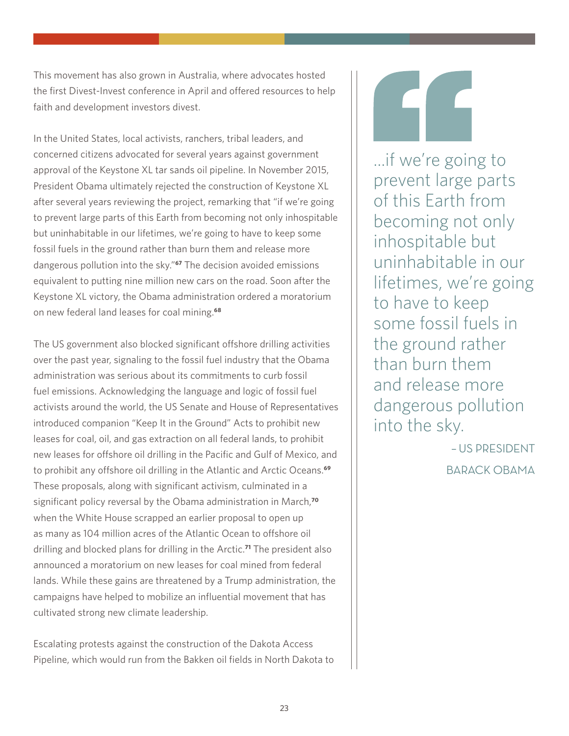This movement has also grown in Australia, where advocates hosted the first Divest-Invest conference in April and offered resources to help faith and development investors divest.

In the United States, local activists, ranchers, tribal leaders, and concerned citizens advocated for several years against government approval of the Keystone XL tar sands oil pipeline. In November 2015, President Obama ultimately rejected the construction of Keystone XL after several years reviewing the project, remarking that "if we're going to prevent large parts of this Earth from becoming not only inhospitable but uninhabitable in our lifetimes, we're going to have to keep some fossil fuels in the ground rather than burn them and release more dangerous pollution into the sky."**<sup>67</sup>** The decision avoided emissions equivalent to putting nine million new cars on the road. Soon after the Keystone XL victory, the Obama administration ordered a moratorium on new federal land leases for coal mining.**<sup>68</sup>**

The US government also blocked significant offshore drilling activities over the past year, signaling to the fossil fuel industry that the Obama administration was serious about its commitments to curb fossil fuel emissions. Acknowledging the language and logic of fossil fuel activists around the world, the US Senate and House of Representatives introduced companion "Keep It in the Ground" Acts to prohibit new leases for coal, oil, and gas extraction on all federal lands, to prohibit new leases for offshore oil drilling in the Pacific and Gulf of Mexico, and to prohibit any offshore oil drilling in the Atlantic and Arctic Oceans.**<sup>69</sup>** These proposals, along with significant activism, culminated in a significant policy reversal by the Obama administration in March,**<sup>70</sup>** when the White House scrapped an earlier proposal to open up as many as 104 million acres of the Atlantic Ocean to offshore oil drilling and blocked plans for drilling in the Arctic.**<sup>71</sup>** The president also announced a moratorium on new leases for coal mined from federal lands. While these gains are threatened by a Trump administration, the campaigns have helped to mobilize an influential movement that has cultivated strong new climate leadership.

Escalating protests against the construction of the Dakota Access Pipeline, which would run from the Bakken oil fields in North Dakota to

...if we're going to prevent large parts of this Earth from becoming not only inhospitable but uninhabitable in our lifetimes, we're going to have to keep some fossil fuels in the ground rather than burn them and release more dangerous pollution into the sky.

– US PRESIDENT

BARACK OBAMA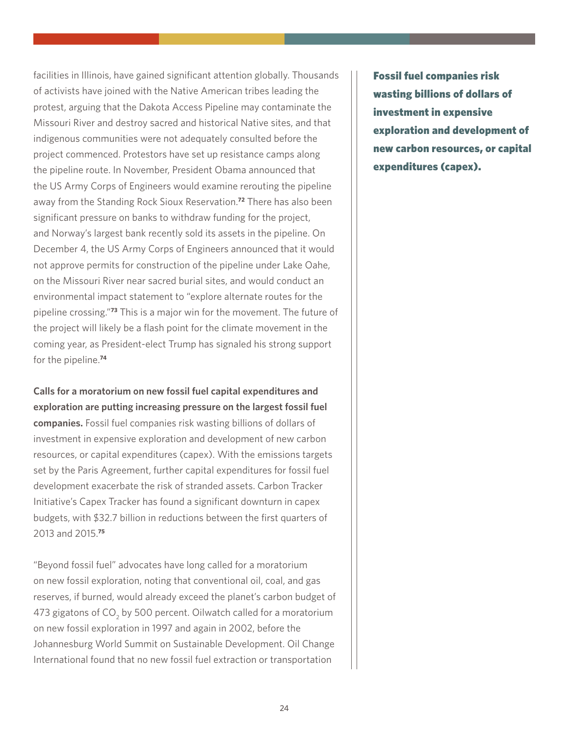facilities in Illinois, have gained significant attention globally. Thousands of activists have joined with the Native American tribes leading the protest, arguing that the Dakota Access Pipeline may contaminate the Missouri River and destroy sacred and historical Native sites, and that indigenous communities were not adequately consulted before the project commenced. Protestors have set up resistance camps along the pipeline route. In November, President Obama announced that the US Army Corps of Engineers would examine rerouting the pipeline away from the Standing Rock Sioux Reservation.**<sup>72</sup>** There has also been significant pressure on banks to withdraw funding for the project, and Norway's largest bank recently sold its assets in the pipeline. On December 4, the US Army Corps of Engineers announced that it would not approve permits for construction of the pipeline under Lake Oahe, on the Missouri River near sacred burial sites, and would conduct an environmental impact statement to "explore alternate routes for the pipeline crossing."**<sup>73</sup>** This is a major win for the movement. The future of the project will likely be a flash point for the climate movement in the coming year, as President-elect Trump has signaled his strong support for the pipeline.**<sup>74</sup>**

**Calls for a moratorium on new fossil fuel capital expenditures and exploration are putting increasing pressure on the largest fossil fuel companies.** Fossil fuel companies risk wasting billions of dollars of investment in expensive exploration and development of new carbon resources, or capital expenditures (capex). With the emissions targets set by the Paris Agreement, further capital expenditures for fossil fuel development exacerbate the risk of stranded assets. Carbon Tracker Initiative's Capex Tracker has found a significant downturn in capex budgets, with \$32.7 billion in reductions between the first quarters of 2013 and 2015.**<sup>75</sup>**

"Beyond fossil fuel" advocates have long called for a moratorium on new fossil exploration, noting that conventional oil, coal, and gas reserves, if burned, would already exceed the planet's carbon budget of 473 gigatons of CO<sub>2</sub> by 500 percent. Oilwatch called for a moratorium on new fossil exploration in 1997 and again in 2002, before the Johannesburg World Summit on Sustainable Development. Oil Change International found that no new fossil fuel extraction or transportation

Fossil fuel companies risk wasting billions of dollars of investment in expensive exploration and development of new carbon resources, or capital expenditures (capex).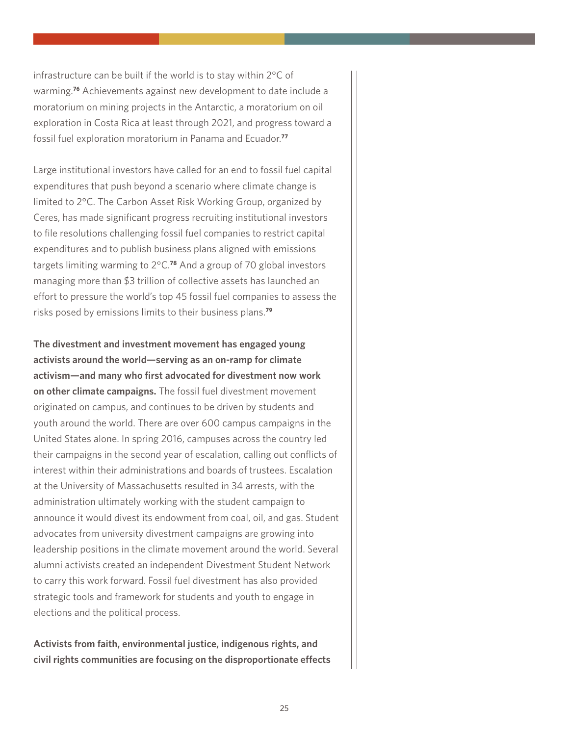infrastructure can be built if the world is to stay within 2°C of warming.**<sup>76</sup>** Achievements against new development to date include a moratorium on mining projects in the Antarctic, a moratorium on oil exploration in Costa Rica at least through 2021, and progress toward a fossil fuel exploration moratorium in Panama and Ecuador.**<sup>77</sup>**

Large institutional investors have called for an end to fossil fuel capital expenditures that push beyond a scenario where climate change is limited to 2°C. The Carbon Asset Risk Working Group, organized by Ceres, has made significant progress recruiting institutional investors to file resolutions challenging fossil fuel companies to restrict capital expenditures and to publish business plans aligned with emissions targets limiting warming to 2°C.**<sup>78</sup>** And a group of 70 global investors managing more than \$3 trillion of collective assets has launched an effort to pressure the world's top 45 fossil fuel companies to assess the risks posed by emissions limits to their business plans.**<sup>79</sup>**

**The divestment and investment movement has engaged young activists around the world—serving as an on-ramp for climate activism—and many who first advocated for divestment now work on other climate campaigns.** The fossil fuel divestment movement originated on campus, and continues to be driven by students and youth around the world. There are over 600 campus campaigns in the United States alone. In spring 2016, campuses across the country led their campaigns in the second year of escalation, calling out conflicts of interest within their administrations and boards of trustees. Escalation at the University of Massachusetts resulted in 34 arrests, with the administration ultimately working with the student campaign to announce it would divest its endowment from coal, oil, and gas. Student advocates from university divestment campaigns are growing into leadership positions in the climate movement around the world. Several alumni activists created an independent Divestment Student Network to carry this work forward. Fossil fuel divestment has also provided strategic tools and framework for students and youth to engage in elections and the political process.

**Activists from faith, environmental justice, indigenous rights, and civil rights communities are focusing on the disproportionate effects**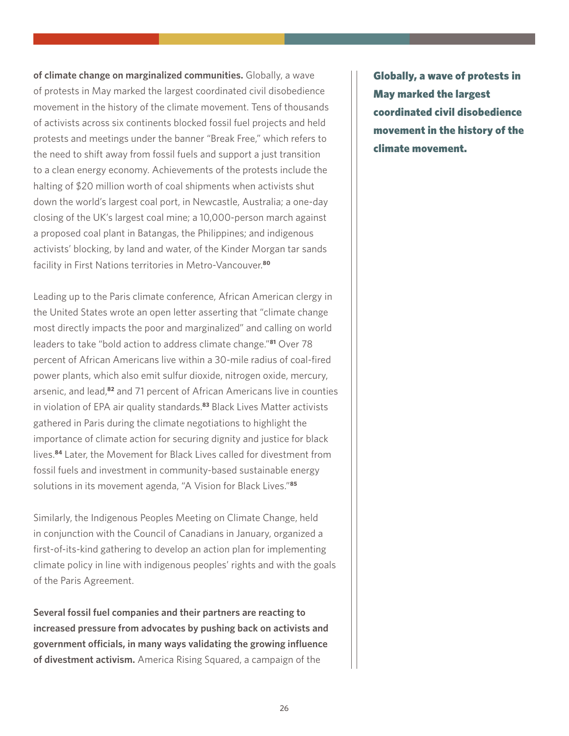**of climate change on marginalized communities.** Globally, a wave of protests in May marked the largest coordinated civil disobedience movement in the history of the climate movement. Tens of thousands of activists across six continents blocked fossil fuel projects and held protests and meetings under the banner "Break Free," which refers to the need to shift away from fossil fuels and support a just transition to a clean energy economy. Achievements of the protests include the halting of \$20 million worth of coal shipments when activists shut down the world's largest coal port, in Newcastle, Australia; a one-day closing of the UK's largest coal mine; a 10,000-person march against a proposed coal plant in Batangas, the Philippines; and indigenous activists' blocking, by land and water, of the Kinder Morgan tar sands facility in First Nations territories in Metro-Vancouver.**<sup>80</sup>**

Leading up to the Paris climate conference, African American clergy in the United States wrote an open letter asserting that "climate change most directly impacts the poor and marginalized" and calling on world leaders to take "bold action to address climate change."**<sup>81</sup>** Over 78 percent of African Americans live within a 30-mile radius of coal-fired power plants, which also emit sulfur dioxide, nitrogen oxide, mercury, arsenic, and lead,**<sup>82</sup>** and 71 percent of African Americans live in counties in violation of EPA air quality standards.**<sup>83</sup>** Black Lives Matter activists gathered in Paris during the climate negotiations to highlight the importance of climate action for securing dignity and justice for black lives.**<sup>84</sup>** Later, the Movement for Black Lives called for divestment from fossil fuels and investment in community-based sustainable energy solutions in its movement agenda, "A Vision for Black Lives."**<sup>85</sup>**

Similarly, the Indigenous Peoples Meeting on Climate Change, held in conjunction with the Council of Canadians in January, organized a first-of-its-kind gathering to develop an action plan for implementing climate policy in line with indigenous peoples' rights and with the goals of the Paris Agreement.

**Several fossil fuel companies and their partners are reacting to increased pressure from advocates by pushing back on activists and government officials, in many ways validating the growing influence of divestment activism.** America Rising Squared, a campaign of the

Globally, a wave of protests in May marked the largest coordinated civil disobedience movement in the history of the climate movement.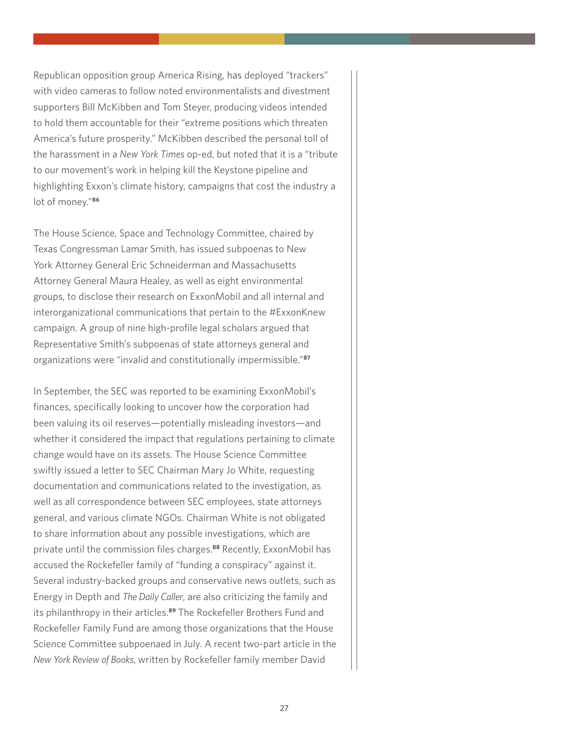Republican opposition group America Rising, has deployed "trackers" with video cameras to follow noted environmentalists and divestment supporters Bill McKibben and Tom Steyer, producing videos intended to hold them accountable for their "extreme positions which threaten America's future prosperity." McKibben described the personal toll of the harassment in a *New York Times* op-ed, but noted that it is a "tribute to our movement's work in helping kill the Keystone pipeline and highlighting Exxon's climate history, campaigns that cost the industry a lot of money."**<sup>86</sup>**

The House Science, Space and Technology Committee, chaired by Texas Congressman Lamar Smith, has issued subpoenas to New York Attorney General Eric Schneiderman and Massachusetts Attorney General Maura Healey, as well as eight environmental groups, to disclose their research on ExxonMobil and all internal and interorganizational communications that pertain to the #ExxonKnew campaign. A group of nine high-profile legal scholars argued that Representative Smith's subpoenas of state attorneys general and organizations were "invalid and constitutionally impermissible."**<sup>87</sup>**

In September, the SEC was reported to be examining ExxonMobil's finances, specifically looking to uncover how the corporation had been valuing its oil reserves—potentially misleading investors—and whether it considered the impact that regulations pertaining to climate change would have on its assets. The House Science Committee swiftly issued a letter to SEC Chairman Mary Jo White, requesting documentation and communications related to the investigation, as well as all correspondence between SEC employees, state attorneys general, and various climate NGOs. Chairman White is not obligated to share information about any possible investigations, which are private until the commission files charges.**<sup>88</sup>** Recently, ExxonMobil has accused the Rockefeller family of "funding a conspiracy" against it. Several industry-backed groups and conservative news outlets, such as Energy in Depth and *The Daily Caller*, are also criticizing the family and its philanthropy in their articles.**<sup>89</sup>** The Rockefeller Brothers Fund and Rockefeller Family Fund are among those organizations that the House Science Committee subpoenaed in July. A recent two-part article in the *New York Review of Books*, written by Rockefeller family member David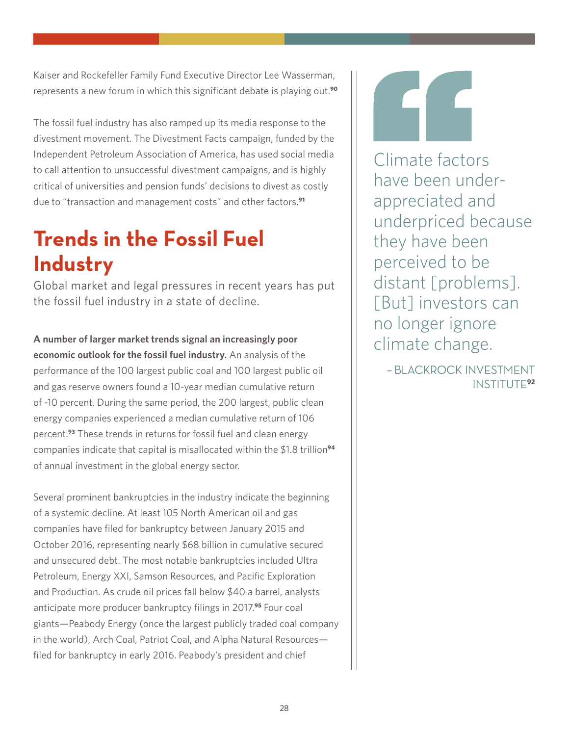Kaiser and Rockefeller Family Fund Executive Director Lee Wasserman, represents a new forum in which this significant debate is playing out.**<sup>90</sup>**

The fossil fuel industry has also ramped up its media response to the divestment movement. The Divestment Facts campaign, funded by the Independent Petroleum Association of America, has used social media to call attention to unsuccessful divestment campaigns, and is highly critical of universities and pension funds' decisions to divest as costly due to "transaction and management costs" and other factors.**<sup>91</sup>**

## **Trends in the Fossil Fuel Industry**

Global market and legal pressures in recent years has put the fossil fuel industry in a state of decline.

**A number of larger market trends signal an increasingly poor economic outlook for the fossil fuel industry.** An analysis of the performance of the 100 largest public coal and 100 largest public oil and gas reserve owners found a 10-year median cumulative return of -10 percent. During the same period, the 200 largest, public clean energy companies experienced a median cumulative return of 106 percent.**<sup>93</sup>** These trends in returns for fossil fuel and clean energy companies indicate that capital is misallocated within the \$1.8 trillion**<sup>94</sup>** of annual investment in the global energy sector.

Several prominent bankruptcies in the industry indicate the beginning of a systemic decline. At least 105 North American oil and gas companies have filed for bankruptcy between January 2015 and October 2016, representing nearly \$68 billion in cumulative secured and unsecured debt. The most notable bankruptcies included Ultra Petroleum, Energy XXI, Samson Resources, and Pacific Exploration and Production. As crude oil prices fall below \$40 a barrel, analysts anticipate more producer bankruptcy filings in 2017.**<sup>95</sup>** Four coal giants—Peabody Energy (once the largest publicly traded coal company in the world), Arch Coal, Patriot Coal, and Alpha Natural Resources filed for bankruptcy in early 2016. Peabody's president and chief

Climate factors have been underappreciated and underpriced because they have been perceived to be distant [problems]. [But] investors can no longer ignore climate change.

– BLACKROCK INVESTMENT INSTITUTE**92**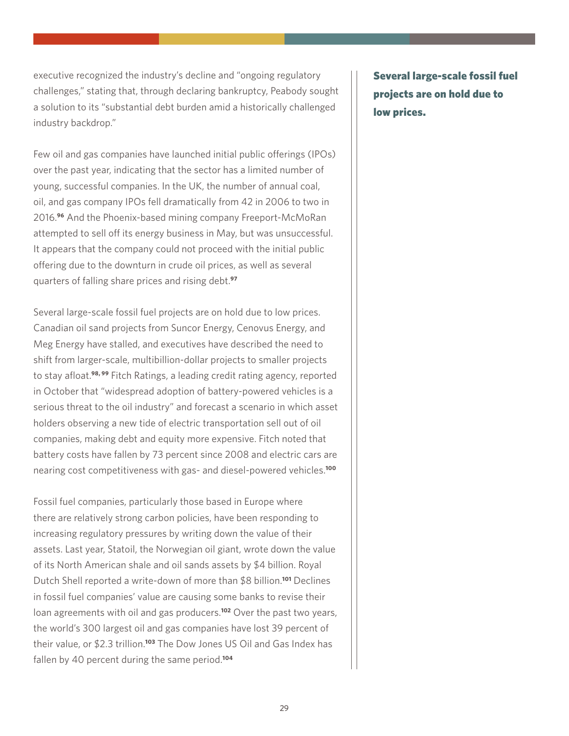executive recognized the industry's decline and "ongoing regulatory challenges," stating that, through declaring bankruptcy, Peabody sought a solution to its "substantial debt burden amid a historically challenged industry backdrop."

Few oil and gas companies have launched initial public offerings (IPOs) over the past year, indicating that the sector has a limited number of young, successful companies. In the UK, the number of annual coal, oil, and gas company IPOs fell dramatically from 42 in 2006 to two in 2016.**<sup>96</sup>** And the Phoenix-based mining company Freeport-McMoRan attempted to sell off its energy business in May, but was unsuccessful. It appears that the company could not proceed with the initial public offering due to the downturn in crude oil prices, as well as several quarters of falling share prices and rising debt.**<sup>97</sup>**

Several large-scale fossil fuel projects are on hold due to low prices. Canadian oil sand projects from Suncor Energy, Cenovus Energy, and Meg Energy have stalled, and executives have described the need to shift from larger-scale, multibillion-dollar projects to smaller projects to stay afloat.**98, 99** Fitch Ratings, a leading credit rating agency, reported in October that "widespread adoption of battery-powered vehicles is a serious threat to the oil industry" and forecast a scenario in which asset holders observing a new tide of electric transportation sell out of oil companies, making debt and equity more expensive. Fitch noted that battery costs have fallen by 73 percent since 2008 and electric cars are nearing cost competitiveness with gas- and diesel-powered vehicles.**<sup>100</sup>**

Fossil fuel companies, particularly those based in Europe where there are relatively strong carbon policies, have been responding to increasing regulatory pressures by writing down the value of their assets. Last year, Statoil, the Norwegian oil giant, wrote down the value of its North American shale and oil sands assets by \$4 billion. Royal Dutch Shell reported a write-down of more than \$8 billion.**<sup>101</sup>** Declines in fossil fuel companies' value are causing some banks to revise their loan agreements with oil and gas producers.**<sup>102</sup>** Over the past two years, the world's 300 largest oil and gas companies have lost 39 percent of their value, or \$2.3 trillion.**<sup>103</sup>** The Dow Jones US Oil and Gas Index has fallen by 40 percent during the same period.**<sup>104</sup>**

Several large-scale fossil fuel projects are on hold due to low prices.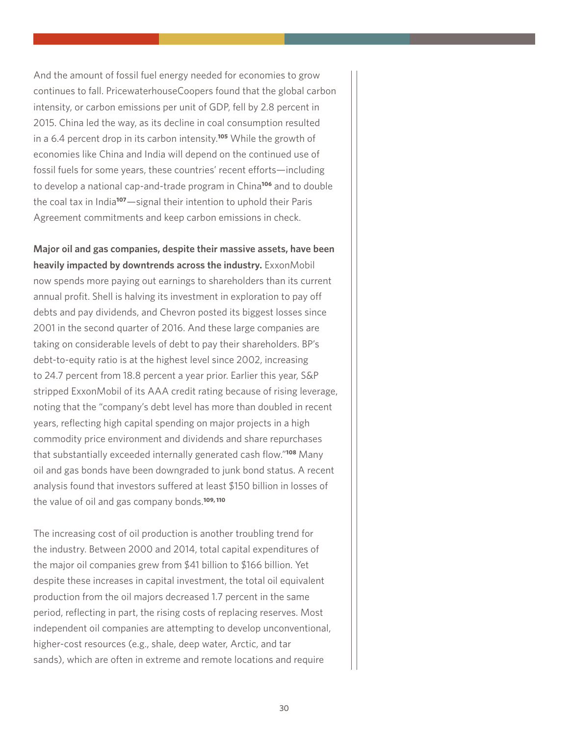And the amount of fossil fuel energy needed for economies to grow continues to fall. PricewaterhouseCoopers found that the global carbon intensity, or carbon emissions per unit of GDP, fell by 2.8 percent in 2015. China led the way, as its decline in coal consumption resulted in a 6.4 percent drop in its carbon intensity.**<sup>105</sup>** While the growth of economies like China and India will depend on the continued use of fossil fuels for some years, these countries' recent efforts—including to develop a national cap-and-trade program in China**<sup>106</sup>** and to double the coal tax in India**<sup>107</sup>**—signal their intention to uphold their Paris Agreement commitments and keep carbon emissions in check.

**Major oil and gas companies, despite their massive assets, have been heavily impacted by downtrends across the industry.** ExxonMobil now spends more paying out earnings to shareholders than its current annual profit. Shell is halving its investment in exploration to pay off debts and pay dividends, and Chevron posted its biggest losses since 2001 in the second quarter of 2016. And these large companies are taking on considerable levels of debt to pay their shareholders. BP's debt-to-equity ratio is at the highest level since 2002, increasing to 24.7 percent from 18.8 percent a year prior. Earlier this year, S&P stripped ExxonMobil of its AAA credit rating because of rising leverage, noting that the "company's debt level has more than doubled in recent years, reflecting high capital spending on major projects in a high commodity price environment and dividends and share repurchases that substantially exceeded internally generated cash flow."**<sup>108</sup>** Many oil and gas bonds have been downgraded to junk bond status. A recent analysis found that investors suffered at least \$150 billion in losses of the value of oil and gas company bonds.**109, 110**

The increasing cost of oil production is another troubling trend for the industry. Between 2000 and 2014, total capital expenditures of the major oil companies grew from \$41 billion to \$166 billion. Yet despite these increases in capital investment, the total oil equivalent production from the oil majors decreased 1.7 percent in the same period, reflecting in part, the rising costs of replacing reserves. Most independent oil companies are attempting to develop unconventional, higher-cost resources (e.g., shale, deep water, Arctic, and tar sands), which are often in extreme and remote locations and require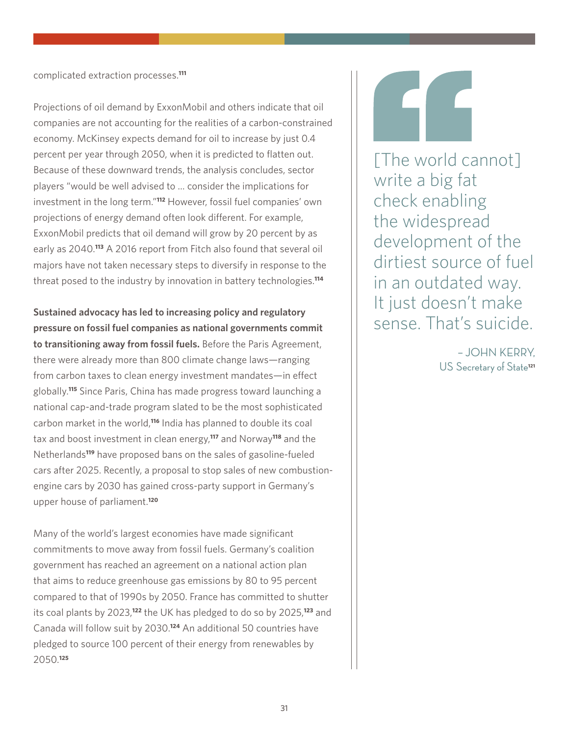complicated extraction processes.**<sup>111</sup>**

Projections of oil demand by ExxonMobil and others indicate that oil companies are not accounting for the realities of a carbon-constrained economy. McKinsey expects demand for oil to increase by just 0.4 percent per year through 2050, when it is predicted to flatten out. Because of these downward trends, the analysis concludes, sector players "would be well advised to … consider the implications for investment in the long term."**<sup>112</sup>** However, fossil fuel companies' own projections of energy demand often look different. For example, ExxonMobil predicts that oil demand will grow by 20 percent by as early as 2040.**<sup>113</sup>** A 2016 report from Fitch also found that several oil majors have not taken necessary steps to diversify in response to the threat posed to the industry by innovation in battery technologies.**<sup>114</sup>**

**Sustained advocacy has led to increasing policy and regulatory pressure on fossil fuel companies as national governments commit to transitioning away from fossil fuels.** Before the Paris Agreement, there were already more than 800 climate change laws—ranging from carbon taxes to clean energy investment mandates—in effect globally.**<sup>115</sup>** Since Paris, China has made progress toward launching a national cap-and-trade program slated to be the most sophisticated carbon market in the world,**<sup>116</sup>** India has planned to double its coal tax and boost investment in clean energy,**<sup>117</sup>** and Norway**<sup>118</sup>** and the Netherlands**<sup>119</sup>** have proposed bans on the sales of gasoline-fueled cars after 2025. Recently, a proposal to stop sales of new combustionengine cars by 2030 has gained cross-party support in Germany's upper house of parliament.**<sup>120</sup>**

Many of the world's largest economies have made significant commitments to move away from fossil fuels. Germany's coalition government has reached an agreement on a national action plan that aims to reduce greenhouse gas emissions by 80 to 95 percent compared to that of 1990s by 2050. France has committed to shutter its coal plants by 2023,**<sup>122</sup>** the UK has pledged to do so by 2025,**<sup>123</sup>** and Canada will follow suit by 2030.**<sup>124</sup>** An additional 50 countries have pledged to source 100 percent of their energy from renewables by 2050.**<sup>125</sup>**

[The world cannot] write a big fat check enabling the widespread development of the dirtiest source of fuel in an outdated way. It just doesn't make sense. That's suicide.

> – JOHN KERRY, US Secretary of State**121**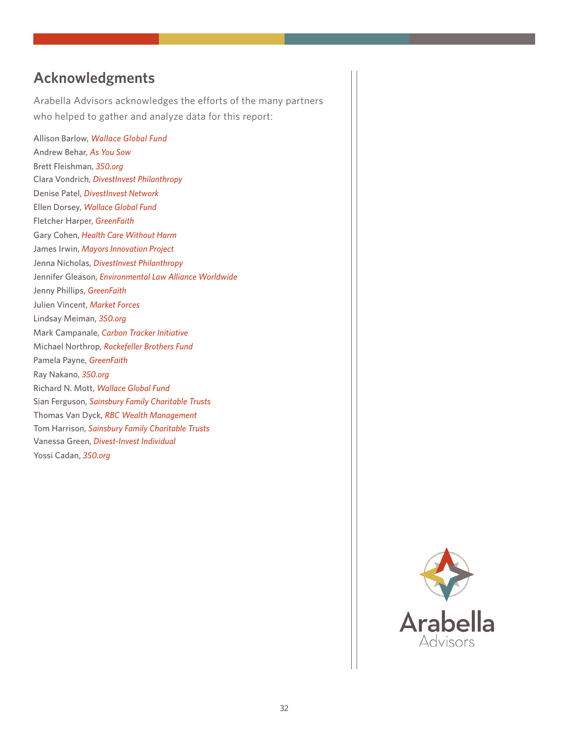### **Acknowledgments**

Arabella Advisors acknowledges the efforts of the many partners who helped to gather and analyze data for this report:

Allison Barlow, *Wallace Global Fund* Andrew Behar, *As You Sow* Brett Fleishman, *350.org* Clara Vondrich, *DivestInvest Philanthropy* Denise Patel, *DivestInvest Network* Ellen Dorsey, *Wallace Global Fund* Fletcher Harper, *GreenFaith* Gary Cohen, *Health Care Without Harm* James Irwin, *Mayors Innovation Project* Jenna Nicholas, *DivestInvest Philanthropy* Jennifer Gleason, *Environmental Law Alliance Worldwide* Jenny Phillips, *GreenFaith* Julien Vincent, *Market Forces* Lindsay Meiman, *350.org* Mark Campanale, *Carbon Tracker Initiative*  Michael Northrop, *Rockefeller Brothers Fund* Pamela Payne, *GreenFaith* Ray Nakano, *350.org* Richard N. Mott, *Wallace Global Fund* Sian Ferguson, *Sainsbury Family Charitable Trusts* Thomas Van Dyck, *RBC Wealth Management*  Tom Harrison, *Sainsbury Family Charitable Trusts* Vanessa Green, *Divest-Invest Individual* Yossi Cadan, *350.org*

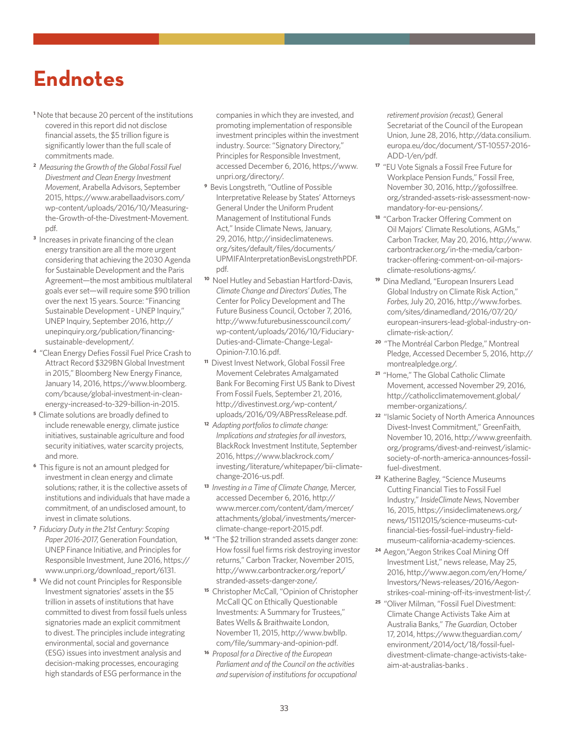## **Endnotes**

- **1** Note that because 20 percent of the institutions covered in this report did not disclose financial assets, the \$5 trillion figure is significantly lower than the full scale of commitments made.
- **2** *Measuring the Growth of the Global Fossil Fuel Divestment and Clean Energy Investment Movement*, Arabella Advisors, September 2015, [https://www.arabellaadvisors.com/](https://www.arabellaadvisors.com/wp-content/uploads/2016/10/Measuring-the-Growth-of-the-Divestment-Movement.pdf) [wp-content/uploads/2016/10/Measuring](https://www.arabellaadvisors.com/wp-content/uploads/2016/10/Measuring-the-Growth-of-the-Divestment-Movement.pdf)[the-Growth-of-the-Divestment-Movement.](https://www.arabellaadvisors.com/wp-content/uploads/2016/10/Measuring-the-Growth-of-the-Divestment-Movement.pdf) [pdf](https://www.arabellaadvisors.com/wp-content/uploads/2016/10/Measuring-the-Growth-of-the-Divestment-Movement.pdf).
- <sup>3</sup> Increases in private financing of the clean energy transition are all the more urgent considering that achieving the 2030 Agenda for Sustainable Development and the Paris Agreement—the most ambitious multilateral goals ever set—will require some \$90 trillion over the next 15 years. Source: "Financing Sustainable Development - UNEP Inquiry," UNEP Inquiry, September 2016, [http://](http://unepinquiry.org/publication/financing-sustainable-development/) [unepinquiry.org/publication/financing](http://unepinquiry.org/publication/financing-sustainable-development/)[sustainable-development/](http://unepinquiry.org/publication/financing-sustainable-development/).
- **<sup>4</sup>** "Clean Energy Defies Fossil Fuel Price Crash to Attract Record \$329BN Global Investment in 2015," Bloomberg New Energy Finance, January 14, 2016, [https://www.bloomberg.](https://www.bloomberg.com/bcause/global-investment-in-clean-energy-increased-to-329-billion-in-2015) [com/bcause/global-investment-in-clean](https://www.bloomberg.com/bcause/global-investment-in-clean-energy-increased-to-329-billion-in-2015)[energy-increased-to-329-billion-in-2015](https://www.bloomberg.com/bcause/global-investment-in-clean-energy-increased-to-329-billion-in-2015).
- **<sup>5</sup>**Climate solutions are broadly defined to include renewable energy, climate justice initiatives, sustainable agriculture and food security initiatives, water scarcity projects, and more.
- **6** This figure is not an amount pledged for investment in clean energy and climate solutions; rather, it is the collective assets of institutions and individuals that have made a commitment, of an undisclosed amount, to invest in climate solutions.
- **7** *Fiduciary Duty in the 21st Century: Scoping Paper 2016-2017*, Generation Foundation, UNEP Finance Initiative, and Principles for Responsible Investment, June 2016, [https://](https://www.unpri.org/download_report/6131) [www.unpri.org/download\\_report/6131](https://www.unpri.org/download_report/6131).
- **8** We did not count Principles for Responsible Investment signatories' assets in the \$5 trillion in assets of institutions that have committed to divest from fossil fuels unless signatories made an explicit commitment to divest. The principles include integrating environmental, social and governance (ESG) issues into investment analysis and decision-making processes, encouraging high standards of ESG performance in the

companies in which they are invested, and promoting implementation of responsible investment principles within the investment industry. Source: "Signatory Directory," Principles for Responsible Investment, accessed December 6, 2016, [https://www.](https://www.unpri.org/directory/) [unpri.org/directory/.](https://www.unpri.org/directory/)

- **9** Bevis Longstreth, "Outline of Possible Interpretative Release by States' Attorneys General Under the Uniform Prudent Management of Institutional Funds Act," Inside Climate News, January, 29, 2016, [http://insideclimatenews.](http://insideclimatenews.org/sites/default/files/documents/UPMIFAInterpretationBevisLongstrethPDF.pdf) [org/sites/default/files/documents/](http://insideclimatenews.org/sites/default/files/documents/UPMIFAInterpretationBevisLongstrethPDF.pdf) [UPMIFAInterpretationBevisLongstrethPDF.](http://insideclimatenews.org/sites/default/files/documents/UPMIFAInterpretationBevisLongstrethPDF.pdf) [pdf](http://insideclimatenews.org/sites/default/files/documents/UPMIFAInterpretationBevisLongstrethPDF.pdf).
- **<sup>10</sup>** Noel Hutley and Sebastian Hartford-Davis, *Climate Change and Directors' Duties*, The Center for Policy Development and The Future Business Council, October 7, 2016, [http://www.futurebusinesscouncil.com/](http://www.futurebusinesscouncil.com/wp-content/uploads/2016/10/Fiduciary-Duties-and-Climate-Change-Legal-Opinion-7.10.16.pdf) [wp-content/uploads/2016/10/Fiduciary-](http://www.futurebusinesscouncil.com/wp-content/uploads/2016/10/Fiduciary-Duties-and-Climate-Change-Legal-Opinion-7.10.16.pdf)[Duties-and-Climate-Change-Legal-](http://www.futurebusinesscouncil.com/wp-content/uploads/2016/10/Fiduciary-Duties-and-Climate-Change-Legal-Opinion-7.10.16.pdf)[Opinion-7.10.16.pdf](http://www.futurebusinesscouncil.com/wp-content/uploads/2016/10/Fiduciary-Duties-and-Climate-Change-Legal-Opinion-7.10.16.pdf).
- **<sup>11</sup>** Divest Invest Network, Global Fossil Free Movement Celebrates Amalgamated Bank For Becoming First US Bank to Divest From Fossil Fuels, September 21, 2016, [http://divestinvest.org/wp-content/](http://divestinvest.org/wp-content/uploads/2016/09/ABPressRelease.pdf) [uploads/2016/09/ABPressRelease.pdf.](http://divestinvest.org/wp-content/uploads/2016/09/ABPressRelease.pdf)
- **<sup>12</sup>** *Adapting portfolios to climate change: Implications and strategies for all investors*, BlackRock Investment Institute, September 2016, [https://www.blackrock.com/](https://www.blackrock.com/investing/literature/whitepaper/bii-climate-change-2016-us.pdf ) [investing/literature/whitepaper/bii-climate](https://www.blackrock.com/investing/literature/whitepaper/bii-climate-change-2016-us.pdf )[change-2016-us.pdf.](https://www.blackrock.com/investing/literature/whitepaper/bii-climate-change-2016-us.pdf )
- **<sup>13</sup>** *Investing in a Time of Climate Change,* Mercer, accessed December 6, 2016, [http://](http://www.mercer.com/content/dam/mercer/attachments/global/investments/mercer-climate-change-report-2015.pdf) [www.mercer.com/content/dam/mercer/](http://www.mercer.com/content/dam/mercer/attachments/global/investments/mercer-climate-change-report-2015.pdf) [attachments/global/investments/mercer](http://www.mercer.com/content/dam/mercer/attachments/global/investments/mercer-climate-change-report-2015.pdf)[climate-change-report-2015.pdf](http://www.mercer.com/content/dam/mercer/attachments/global/investments/mercer-climate-change-report-2015.pdf).
- **<sup>14</sup>** "The \$2 trillion stranded assets danger zone: How fossil fuel firms risk destroying investor returns," Carbon Tracker, November 2015, [http://www.carbontracker.org/report/](http://www.carbontracker.org/report/stranded-assets-danger-zone/) [stranded-assets-danger-zone/.](http://www.carbontracker.org/report/stranded-assets-danger-zone/)
- **<sup>15</sup>** Christopher McCall, "Opinion of Christopher McCall QC on Ethically Questionable Investments: A Summary for Trustees," Bates Wells & Braithwaite London, November 11, 2015, [http://www.bwbllp.](http://www.bwbllp.com/file/summary-and-opinion-pdf) [com/file/summary-and-opinion-pdf.](http://www.bwbllp.com/file/summary-and-opinion-pdf)
- **<sup>16</sup>** *Proposal for a Directive of the European Parliament and of the Council on the activities and supervision of institutions for occupational*

*retirement provision (recast),* General Secretariat of the Council of the European Union, June 28, 2016, [http://data.consilium.](http://data.consilium.europa.eu/doc/document/ST-10557-2016-ADD-1/en/pdf) [europa.eu/doc/document/ST-10557-2016-](http://data.consilium.europa.eu/doc/document/ST-10557-2016-ADD-1/en/pdf) [ADD-1/en/pdf](http://data.consilium.europa.eu/doc/document/ST-10557-2016-ADD-1/en/pdf).

- **<sup>17</sup>** "EU Vote Signals a Fossil Free Future for Workplace Pension Funds," Fossil Free, November 30, 2016, [http://gofossilfree.](http://gofossilfree.org/stranded-assets-risk-assessment-now-mandatory-for-eu-pensions/) [org/stranded-assets-risk-assessment-now](http://gofossilfree.org/stranded-assets-risk-assessment-now-mandatory-for-eu-pensions/)[mandatory-for-eu-pensions/.](http://gofossilfree.org/stranded-assets-risk-assessment-now-mandatory-for-eu-pensions/)
- **<sup>18</sup>** "Carbon Tracker Offering Comment on Oil Majors' Climate Resolutions, AGMs," Carbon Tracker, May 20, 2016, [http://www.](http://www.carbontracker.org/in-the-media/carbon-tracker-offering-comment-on-oil-majors-climate-reso) [carbontracker.org/in-the-media/carbon](http://www.carbontracker.org/in-the-media/carbon-tracker-offering-comment-on-oil-majors-climate-reso)[tracker-offering-comment-on-oil-majors](http://www.carbontracker.org/in-the-media/carbon-tracker-offering-comment-on-oil-majors-climate-reso)[climate-resolutions-agms/.](http://www.carbontracker.org/in-the-media/carbon-tracker-offering-comment-on-oil-majors-climate-reso)
- **<sup>19</sup>** Dina Medland, "European Insurers Lead Global Industry on Climate Risk Action," *Forbes*, July 20, 2016, [http://www.forbes.](http://www.forbes.com/sites/dinamedland/2016/07/20/european-insurers-lead-global-industry-on-climate) [com/sites/dinamedland/2016/07/20/](http://www.forbes.com/sites/dinamedland/2016/07/20/european-insurers-lead-global-industry-on-climate) [european-insurers-lead-global-industry-on](http://www.forbes.com/sites/dinamedland/2016/07/20/european-insurers-lead-global-industry-on-climate)[climate-risk-action/.](http://www.forbes.com/sites/dinamedland/2016/07/20/european-insurers-lead-global-industry-on-climate)
- **<sup>20</sup>** "The Montréal Carbon Pledge," Montreal Pledge, Accessed December 5, 2016, [http://](http://montrealpledge.org/) [montrealpledge.org/.](http://montrealpledge.org/)
- **<sup>21</sup>** "Home," The Global Catholic Climate Movement, accessed November 29, 2016, [http://catholicclimatemovement.global/](http://catholicclimatemovement.global/member-organizations/) [member-organizations/.](http://catholicclimatemovement.global/member-organizations/)
- **<sup>22</sup>** "Islamic Society of North America Announces Divest-Invest Commitment," GreenFaith, November 10, 2016, [http://www.greenfaith.](http://www.greenfaith.org/programs/divest-and-reinvest/islamic-society-of-north-america-announces-fossil-fuel-divestment) [org/programs/divest-and-reinvest/islamic](http://www.greenfaith.org/programs/divest-and-reinvest/islamic-society-of-north-america-announces-fossil-fuel-divestment)[society-of-north-america-announces-fossil](http://www.greenfaith.org/programs/divest-and-reinvest/islamic-society-of-north-america-announces-fossil-fuel-divestment)[fuel-divestment.](http://www.greenfaith.org/programs/divest-and-reinvest/islamic-society-of-north-america-announces-fossil-fuel-divestment)
- **<sup>23</sup>** Katherine Bagley, "Science Museums Cutting Financial Ties to Fossil Fuel Industry," *InsideClimate News*, November 16, 2015, [https://insideclimatenews.org/](https://insideclimatenews.org/news/15112015/science-museums-cut-financial-ties-fossil-fuel-industry-field-museum-california-academy-sciences) [news/15112015/science-museums-cut](https://insideclimatenews.org/news/15112015/science-museums-cut-financial-ties-fossil-fuel-industry-field-museum-california-academy-sciences)[financial-ties-fossil-fuel-industry-field](https://insideclimatenews.org/news/15112015/science-museums-cut-financial-ties-fossil-fuel-industry-field-museum-california-academy-sciences)[museum-california-academy-sciences.](https://insideclimatenews.org/news/15112015/science-museums-cut-financial-ties-fossil-fuel-industry-field-museum-california-academy-sciences)
- **<sup>24</sup>**Aegon,"Aegon Strikes Coal Mining Off Investment List," news release, May 25, 2016, [http://www.aegon.com/en/Home/](http://www.aegon.com/en/Home/Investors/News-releases/2016/Aegon-strikes-coal-mining-off-its-investment-list-/) [Investors/News-releases/2016/Aegon](http://www.aegon.com/en/Home/Investors/News-releases/2016/Aegon-strikes-coal-mining-off-its-investment-list-/)[strikes-coal-mining-off-its-investment-list-/](http://www.aegon.com/en/Home/Investors/News-releases/2016/Aegon-strikes-coal-mining-off-its-investment-list-/).
- **<sup>25</sup>** "Oliver Milman, "Fossil Fuel Divestment: Climate Change Activists Take Aim at Australia Banks," *The Guardian*, October 17, 2014, [https://www.theguardian.com/](https://www.theguardian.com/environment/2014/oct/18/fossil-fuel-divestment-climate-change-activists-take-aim-at-australias-banks) [environment/2014/oct/18/fossil-fuel](https://www.theguardian.com/environment/2014/oct/18/fossil-fuel-divestment-climate-change-activists-take-aim-at-australias-banks)[divestment-climate-change-activists-take](https://www.theguardian.com/environment/2014/oct/18/fossil-fuel-divestment-climate-change-activists-take-aim-at-australias-banks)[aim-at-australias-banks](https://www.theguardian.com/environment/2014/oct/18/fossil-fuel-divestment-climate-change-activists-take-aim-at-australias-banks) .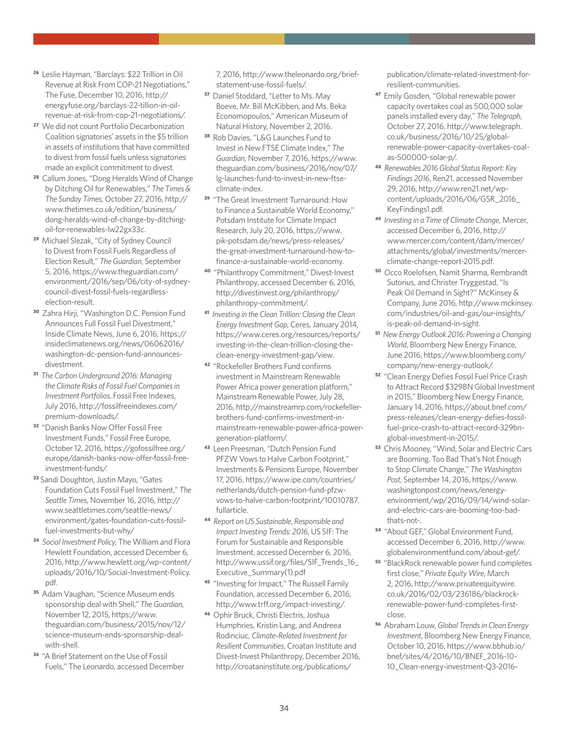- **<sup>26</sup>** Leslie Hayman, "Barclays: \$22 Trillion in Oil Revenue at Risk From COP-21 Negotiations," The Fuse, December 10, 2016, [http://](http://energyfuse.org/barclays-22-tillion-in-oil-revenue-at-risk-from-cop-21-negotiations/) [energyfuse.org/barclays-22-tillion-in-oil](http://energyfuse.org/barclays-22-tillion-in-oil-revenue-at-risk-from-cop-21-negotiations/)[revenue-at-risk-from-cop-21-negotiations/](http://energyfuse.org/barclays-22-tillion-in-oil-revenue-at-risk-from-cop-21-negotiations/).
- **<sup>27</sup>** We did not count Portfolio Decarbonization Coalition signatories' assets in the \$5 trillion in assets of institutions that have committed to divest from fossil fuels unless signatories made an explicit commitment to divest.
- **<sup>28</sup>** Callum Jones, "Dong Heralds Wind of Change by Ditching Oil for Renewables," *The Times & The Sunday Times*, October 27, 2016, [http://](http://www.thetimes.co.uk/edition/business/dong-heralds-wind-of-change-by-ditching-oil-for-renewables-lw22gx33c) [www.thetimes.co.uk/edition/business/](http://www.thetimes.co.uk/edition/business/dong-heralds-wind-of-change-by-ditching-oil-for-renewables-lw22gx33c) [dong-heralds-wind-of-change-by-ditching](http://www.thetimes.co.uk/edition/business/dong-heralds-wind-of-change-by-ditching-oil-for-renewables-lw22gx33c)[oil-for-renewables-lw22gx33c](http://www.thetimes.co.uk/edition/business/dong-heralds-wind-of-change-by-ditching-oil-for-renewables-lw22gx33c).
- **<sup>29</sup>** Michael Slezak, "City of Sydney Council to Divest from Fossil Fuels Regardless of Election Result," *The Guardian*, September 5, 2016, [https://www.theguardian.com/](https://www.theguardian.com/environment/2016/sep/06/city-of-sydney-council-divest-fossil-fuels-regardless-election-result) [environment/2016/sep/06/city-of-sydney](https://www.theguardian.com/environment/2016/sep/06/city-of-sydney-council-divest-fossil-fuels-regardless-election-result)[council-divest-fossil-fuels-regardless](https://www.theguardian.com/environment/2016/sep/06/city-of-sydney-council-divest-fossil-fuels-regardless-election-result)[election-result.](https://www.theguardian.com/environment/2016/sep/06/city-of-sydney-council-divest-fossil-fuels-regardless-election-result)
- **<sup>30</sup>** Zahra Hirji, "Washington D.C. Pension Fund Announces Full Fossil Fuel Divestment," Inside Climate News, June 6, 2016, [https://](https://insideclimatenews.org/news/06062016/washington-dc-pension-fund-announces-divestment) [insideclimatenews.org/news/06062016/](https://insideclimatenews.org/news/06062016/washington-dc-pension-fund-announces-divestment) [washington-dc-pension-fund-announces](https://insideclimatenews.org/news/06062016/washington-dc-pension-fund-announces-divestment)[divestment.](https://insideclimatenews.org/news/06062016/washington-dc-pension-fund-announces-divestment)
- **<sup>31</sup>** *The Carbon Underground 2016: Managing the Climate Risks of Fossil Fuel Companies in Investment Portfolios*, Fossil Free Indexes, July 2016, [http://fossilfreeindexes.com/](http://fossilfreeindexes.com/premium-downloads/) [premium-downloads/](http://fossilfreeindexes.com/premium-downloads/).
- **<sup>32</sup>** "Danish Banks Now Offer Fossil Free Investment Funds," Fossil Free Europe, October 12, 2016, [https://gofossilfree.org/](https://gofossilfree.org/europe/danish-banks-now-offer-fossil-free-investment-funds/) [europe/danish-banks-now-offer-fossil-free](https://gofossilfree.org/europe/danish-banks-now-offer-fossil-free-investment-funds/)[investment-funds/.](https://gofossilfree.org/europe/danish-banks-now-offer-fossil-free-investment-funds/)
- **<sup>33</sup>** Sandi Doughton, Justin Mayo, "Gates Foundation Cuts Fossil Fuel Investment," *The Seattle Times,* November 16, 2016, http:// www.seattletimes.com/seattle-news/ environment/gates-foundation-cuts-fossilfuel-investments-but-why/
- **<sup>34</sup>** *Social Investment Policy*, The William and Flora Hewlett Foundation, accessed December 6, 2016, [http://www.hewlett.org/wp-content/](http://www.hewlett.org/wp-content/uploads/2016/10/Social-Investment-Policy.pdf) [uploads/2016/10/Social-Investment-Policy.](http://www.hewlett.org/wp-content/uploads/2016/10/Social-Investment-Policy.pdf) [pdf](http://www.hewlett.org/wp-content/uploads/2016/10/Social-Investment-Policy.pdf).
- **<sup>35</sup>** Adam Vaughan, "Science Museum ends sponsorship deal with Shell," *The Guardian*, November 12, 2015, [https://www.](https://www.theguardian.com/business/2015/nov/12/science-museum-ends-sponsorship-deal-with-shell) [theguardian.com/business/2015/nov/12/](https://www.theguardian.com/business/2015/nov/12/science-museum-ends-sponsorship-deal-with-shell) [science-museum-ends-sponsorship-deal](https://www.theguardian.com/business/2015/nov/12/science-museum-ends-sponsorship-deal-with-shell)[with-shell](https://www.theguardian.com/business/2015/nov/12/science-museum-ends-sponsorship-deal-with-shell).
- **<sup>36</sup>** "A Brief Statement on the Use of Fossil Fuels," The Leonardo, accessed December

7, 2016, [http://www.theleonardo.org/brief](http://www.theleonardo.org/brief-statement-use-fossil-fuels/)[statement-use-fossil-fuels/](http://www.theleonardo.org/brief-statement-use-fossil-fuels/).

- **<sup>37</sup>** Daniel Stoddard, "Letter to Ms. May Boeve, Mr. Bill McKibben, and Ms. Beka Economopoulos," American Museum of Natural History, November 2, 2016.
- **<sup>38</sup>** Rob Davies, "L&G Launches Fund to Invest in New FTSE Climate Index," *The Guardian,* November 7, 2016, [https://www.](https://www.theguardian.com/business/2016/nov/07/lg-launches-fund-to-invest-in-new-ftse-climate-index) [theguardian.com/business/2016/nov/07/](https://www.theguardian.com/business/2016/nov/07/lg-launches-fund-to-invest-in-new-ftse-climate-index) [lg-launches-fund-to-invest-in-new-ftse](https://www.theguardian.com/business/2016/nov/07/lg-launches-fund-to-invest-in-new-ftse-climate-index)[climate-index.](https://www.theguardian.com/business/2016/nov/07/lg-launches-fund-to-invest-in-new-ftse-climate-index)
- **<sup>39</sup>** "The Great Investment Turnaround: How to Finance a Sustainable World Economy," Potsdam Institute for Climate Impact Research, July 20, 2016, [https://www.](https://www.pik-potsdam.de/news/press-releases/the-great-investment-turnaround-how-to-finance-a-sustainable-world-economy) [pik-potsdam.de/news/press-releases/](https://www.pik-potsdam.de/news/press-releases/the-great-investment-turnaround-how-to-finance-a-sustainable-world-economy) [the-great-investment-turnaround-how-to](https://www.pik-potsdam.de/news/press-releases/the-great-investment-turnaround-how-to-finance-a-sustainable-world-economy)[finance-a-sustainable-world-economy](https://www.pik-potsdam.de/news/press-releases/the-great-investment-turnaround-how-to-finance-a-sustainable-world-economy).
- **<sup>40</sup>** "Philanthropy Commitment," Divest-Invest Philanthropy, accessed December 6, 2016, [http://divestinvest.org/philanthropy/](http://divestinvest.org/philanthropy/philanthropy-commitment/) [philanthropy-commitment/](http://divestinvest.org/philanthropy/philanthropy-commitment/).
- **<sup>41</sup>** *Investing in the Clean Trillion: Closing the Clean Energy Investment Gap*, Ceres, January 2014, [https://www.ceres.org/resources/reports/](https://www.ceres.org/resources/reports/investing-in-the-clean-trillion-closing-the-clean-energy-investment-gap/view) [investing-in-the-clean-trillion-closing-the](https://www.ceres.org/resources/reports/investing-in-the-clean-trillion-closing-the-clean-energy-investment-gap/view)[clean-energy-investment-gap/view.](https://www.ceres.org/resources/reports/investing-in-the-clean-trillion-closing-the-clean-energy-investment-gap/view)
- **<sup>42</sup>** "Rockefeller Brothers Fund confirms investment in Mainstream Renewable Power Africa power generation platform," Mainstream Renewable Power, July 28, 2016, [http://mainstreamrp.com/rockefeller](http://mainstreamrp.com/rockefeller-brothers-fund-confirms-investment-in-mainstream-renewable-power-africa-power-generation-platform/)[brothers-fund-confirms-investment-in](http://mainstreamrp.com/rockefeller-brothers-fund-confirms-investment-in-mainstream-renewable-power-africa-power-generation-platform/)[mainstream-renewable-power-africa-power](http://mainstreamrp.com/rockefeller-brothers-fund-confirms-investment-in-mainstream-renewable-power-africa-power-generation-platform/)[generation-platform/.](http://mainstreamrp.com/rockefeller-brothers-fund-confirms-investment-in-mainstream-renewable-power-africa-power-generation-platform/)
- **<sup>43</sup>** Leen Preesman, "Dutch Pension Fund PFZW Vows to Halve Carbon Footprint," Investments & Pensions Europe, November 17, 2016, [https://www.ipe.com/countries/](https://www.ipe.com/countries/netherlands/dutch-pension-fund-pfzw-vows-to-halve-carbon-footprint/10010787.fullarticle) [netherlands/dutch-pension-fund-pfzw](https://www.ipe.com/countries/netherlands/dutch-pension-fund-pfzw-vows-to-halve-carbon-footprint/10010787.fullarticle)[vows-to-halve-carbon-footprint/10010787.](https://www.ipe.com/countries/netherlands/dutch-pension-fund-pfzw-vows-to-halve-carbon-footprint/10010787.fullarticle) [fullarticle](https://www.ipe.com/countries/netherlands/dutch-pension-fund-pfzw-vows-to-halve-carbon-footprint/10010787.fullarticle).
- **<sup>44</sup>** *Report on US Sustainable, Responsible and Impact Investing Trends: 2016*, US SIF: The Forum for Sustainable and Responsible Investment, accessed December 6, 2016, [http://www.ussif.org/files/SIF\\_Trends\\_16\\_](http://www.ussif.org/files/SIF_Trends_16_Executive_Summary(1).pdf) [Executive\\_Summary\(1\).pdf](http://www.ussif.org/files/SIF_Trends_16_Executive_Summary(1).pdf)
- **<sup>45</sup>** "Investing for Impact," The Russell Family Foundation, accessed December 6, 2016, [http://www.trff.org/impact-investing/.](http://www.trff.org/impact-investing/)
- **<sup>46</sup>** Ophir Bruck, Christi Electris, Joshua Humphries, Kristin Lang, and Andreea Rodinciuc, *Climate-Related Investment for Resilient Communities*, Croatan Institute and Divest-Invest Philanthropy, December 2016, [http://croataninstitute.org/publications/](http://croataninstitute.org/publications/publication/climate-related-investment-for-resilient-communities)

[publication/climate-related-investment-for](http://croataninstitute.org/publications/publication/climate-related-investment-for-resilient-communities)[resilient-communities.](http://croataninstitute.org/publications/publication/climate-related-investment-for-resilient-communities)

- **<sup>47</sup>** Emily Gosden, "Global renewable power capacity overtakes coal as 500,000 solar panels installed every day," *The Telegraph*, October 27, 2016, [http://www.telegraph.](http://www.telegraph.co.uk/business/2016/10/25/global-renewable-power-capacity-overtakes-coal-as-500000-solar-p/) [co.uk/business/2016/10/25/global](http://www.telegraph.co.uk/business/2016/10/25/global-renewable-power-capacity-overtakes-coal-as-500000-solar-p/)[renewable-power-capacity-overtakes-coal](http://www.telegraph.co.uk/business/2016/10/25/global-renewable-power-capacity-overtakes-coal-as-500000-solar-p/)[as-500000-solar-p/](http://www.telegraph.co.uk/business/2016/10/25/global-renewable-power-capacity-overtakes-coal-as-500000-solar-p/).
- **<sup>48</sup>** *Renewables 2016 Global Status Report: Key Findings 2016*, Ren21, accessed November 29, 2016, [http://www.ren21.net/wp](http://www.ren21.net/wp-content/uploads/2016/06/GSR_2016_KeyFindings1.pdf)[content/uploads/2016/06/GSR\\_2016\\_](http://www.ren21.net/wp-content/uploads/2016/06/GSR_2016_KeyFindings1.pdf) [KeyFindings1.pdf.](http://www.ren21.net/wp-content/uploads/2016/06/GSR_2016_KeyFindings1.pdf)
- **<sup>49</sup>** *Investing in a Time of Climate Change*, Mercer, accessed December 6, 2016, [http://](http://www.mercer.com/content/dam/mercer/attachments/global/investments/mercer-climate-change-report-2015.pdf) [www.mercer.com/content/dam/mercer/](http://www.mercer.com/content/dam/mercer/attachments/global/investments/mercer-climate-change-report-2015.pdf) [attachments/global/investments/mercer](http://www.mercer.com/content/dam/mercer/attachments/global/investments/mercer-climate-change-report-2015.pdf)[climate-change-report-2015.pdf](http://www.mercer.com/content/dam/mercer/attachments/global/investments/mercer-climate-change-report-2015.pdf).
- **<sup>50</sup>** Occo Roelofsen, Namit Sharma, Rembrandt Sutorius, and Christer Tryggestad, "Is Peak Oil Demand in Sight?" McKinsey & Company, June 2016, [http://www.mckinsey.](http://www.mckinsey.com/industries/oil-and-gas/our-insights/is-peak-oil-demand-in-sight) [com/industries/oil-and-gas/our-insights/](http://www.mckinsey.com/industries/oil-and-gas/our-insights/is-peak-oil-demand-in-sight) [is-peak-oil-demand-in-sight](http://www.mckinsey.com/industries/oil-and-gas/our-insights/is-peak-oil-demand-in-sight).
- **<sup>51</sup>** *New Energy Outlook 2016: Powering a Changing World*, Bloomberg New Energy Finance, June 2016, [https://www.bloomberg.com/](https://www.bloomberg.com/company/new-energy-outlook/) [company/new-energy-outlook/](https://www.bloomberg.com/company/new-energy-outlook/).
- **<sup>52</sup>** "Clean Energy Defies Fossil Fuel Price Crash to Attract Record \$329BN Global Investment in 2015," Bloomberg New Energy Finance, January 14, 2016, [https://about.bnef.com/](https://about.bnef.com/press-releases/clean-energy-defies-fossil-fuel-price-crash-to-attract-record-329bn-global-investment-in-2015/) [press-releases/clean-energy-defies-fossil](https://about.bnef.com/press-releases/clean-energy-defies-fossil-fuel-price-crash-to-attract-record-329bn-global-investment-in-2015/)[fuel-price-crash-to-attract-record-329bn](https://about.bnef.com/press-releases/clean-energy-defies-fossil-fuel-price-crash-to-attract-record-329bn-global-investment-in-2015/)[global-investment-in-2015/.](https://about.bnef.com/press-releases/clean-energy-defies-fossil-fuel-price-crash-to-attract-record-329bn-global-investment-in-2015/)
- **<sup>53</sup>** Chris Mooney, "Wind, Solar and Electric Cars are Booming. Too Bad That's Not Enough to Stop Climate Change," *The Washington Post*, September 14, 2016, [https://www.](https://www.washingtonpost.com/news/energy-environment/wp/2016/09/14/wind-solar-and-electric-cars-are-booming-too-bad-thats-not-) [washingtonpost.com/news/energy](https://www.washingtonpost.com/news/energy-environment/wp/2016/09/14/wind-solar-and-electric-cars-are-booming-too-bad-thats-not-)[environment/wp/2016/09/14/wind-solar](https://www.washingtonpost.com/news/energy-environment/wp/2016/09/14/wind-solar-and-electric-cars-are-booming-too-bad-thats-not-)[and-electric-cars-are-booming-too-bad](https://www.washingtonpost.com/news/energy-environment/wp/2016/09/14/wind-solar-and-electric-cars-are-booming-too-bad-thats-not-)[thats-not-.](https://www.washingtonpost.com/news/energy-environment/wp/2016/09/14/wind-solar-and-electric-cars-are-booming-too-bad-thats-not-)
- **<sup>54</sup>** "About GEF," Global Environment Fund, accessed December 6, 2016, [http://www.](http://www.globalenvironmentfund.com/about-gef/) [globalenvironmentfund.com/about-gef/](http://www.globalenvironmentfund.com/about-gef/).
- **<sup>55</sup>** "BlackRock renewable power fund completes first close," *Private Equity Wire*, March 2, 2016, [http://www.privateequitywire.](http://www.privateequitywire.co.uk/2016/02/03/236186/blackrock-renewable-power-fund-completes-first-close) [co.uk/2016/02/03/236186/blackrock](http://www.privateequitywire.co.uk/2016/02/03/236186/blackrock-renewable-power-fund-completes-first-close)[renewable-power-fund-completes-first](http://www.privateequitywire.co.uk/2016/02/03/236186/blackrock-renewable-power-fund-completes-first-close)[close](http://www.privateequitywire.co.uk/2016/02/03/236186/blackrock-renewable-power-fund-completes-first-close).
- **<sup>56</sup>** Abraham Louw, *Global Trends in Clean Energy Investment*, Bloomberg New Energy Finance, October 10, 2016, [https://www.bbhub.io/](https://www.bbhub.io/bnef/sites/4/2016/10/BNEF_2016-10-10_Clean-energy-investment-Q3-2016-factpack.pdf) [bnef/sites/4/2016/10/BNEF\\_2016-10-](https://www.bbhub.io/bnef/sites/4/2016/10/BNEF_2016-10-10_Clean-energy-investment-Q3-2016-factpack.pdf) [10\\_Clean-energy-investment-Q3-2016-](https://www.bbhub.io/bnef/sites/4/2016/10/BNEF_2016-10-10_Clean-energy-investment-Q3-2016-factpack.pdf)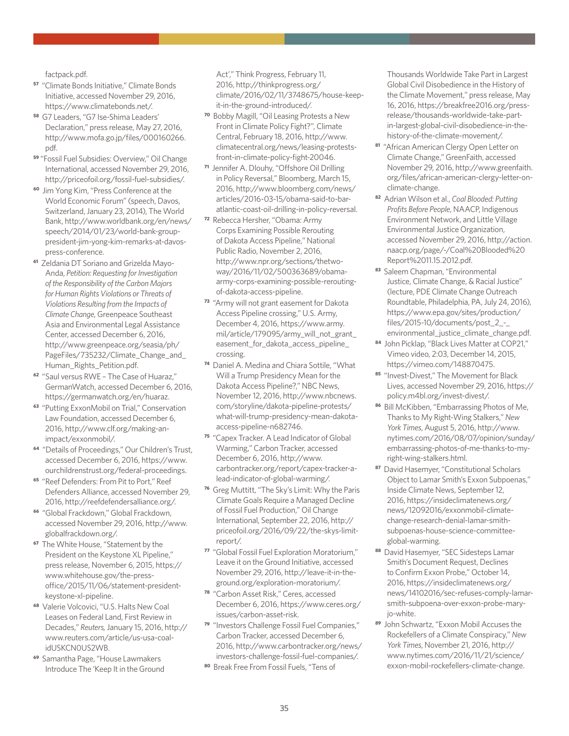[factpack.pdf.](https://www.bbhub.io/bnef/sites/4/2016/10/BNEF_2016-10-10_Clean-energy-investment-Q3-2016-factpack.pdf)

- **<sup>57</sup>** "Climate Bonds Initiative," Climate Bonds Initiative, accessed November 29, 2016, [https://www.climatebonds.net/.](https://www.climatebonds.net/)
- **<sup>58</sup>** G7 Leaders, "G7 Ise-Shima Leaders' Declaration," press release, May 27, 2016, [http://www.mofa.go.jp/files/000160266.](http://www.mofa.go.jp/files/000160266.pdf) [pdf](http://www.mofa.go.jp/files/000160266.pdf).
- **<sup>59</sup>** "Fossil Fuel Subsidies: Overview," Oil Change International, accessed November 29, 2016, <http://priceofoil.org/fossil-fuel-subsidies/>.
- **<sup>60</sup>** Jim Yong Kim, "Press Conference at the World Economic Forum" (speech, Davos, Switzerland, January 23, 2014), The World Bank, [http://www.worldbank.org/en/news/](http://www.worldbank.org/en/news/speech/2014/01/23/world-bank-group-president-jim-yong-kim-remarks-at-davos-press-conference) [speech/2014/01/23/world-bank-group](http://www.worldbank.org/en/news/speech/2014/01/23/world-bank-group-president-jim-yong-kim-remarks-at-davos-press-conference)[president-jim-yong-kim-remarks-at-davos](http://www.worldbank.org/en/news/speech/2014/01/23/world-bank-group-president-jim-yong-kim-remarks-at-davos-press-conference)[press-conference](http://www.worldbank.org/en/news/speech/2014/01/23/world-bank-group-president-jim-yong-kim-remarks-at-davos-press-conference).
- **61** Zeldania DT Soriano and Grizelda Mayo-Anda, *Petition: Requesting for Investigation of the Responsibility of the Carbon Majors for Human Rights Violations or Threats of Violations Resulting from the Impacts of Climate Change*, Greenpeace Southeast Asia and Environmental Legal Assistance Center, accessed December 6, 2016, [http://www.greenpeace.org/seasia/ph/](http://www.greenpeace.org/seasia/ph/PageFiles/735232/Climate_Change_and_Human_Rights_Petition.pdf) [PageFiles/735232/Climate\\_Change\\_and\\_](http://www.greenpeace.org/seasia/ph/PageFiles/735232/Climate_Change_and_Human_Rights_Petition.pdf) Human Rights Petition.pdf.
- **<sup>62</sup>** "Saul versus RWE The Case of Huaraz," GermanWatch, accessed December 6, 2016, [https://germanwatch.org/en/huaraz.](https://germanwatch.org/en/huaraz)
- **<sup>63</sup>** "Putting ExxonMobil on Trial," Conservation Law Foundation, accessed December 6, 2016, [http://www.clf.org/making-an](http://www.clf.org/making-an-impact/exxonmobil/)[impact/exxonmobil/](http://www.clf.org/making-an-impact/exxonmobil/).
- **<sup>64</sup>** "Details of Proceedings," Our Children's Trust, accessed December 6, 2016, [https://www.](https://www.ourchildrenstrust.org/federal-proceedings) [ourchildrenstrust.org/federal-proceedings](https://www.ourchildrenstrust.org/federal-proceedings).
- **<sup>65</sup>** "Reef Defenders: From Pit to Port," Reef Defenders Alliance, accessed November 29, 2016, [http://reefdefendersalliance.org/.](http://reefdefendersalliance.org/)
- **<sup>66</sup>** "Global Frackdown," Global Frackdown, accessed November 29, 2016, [http://www.](http://www.globalfrackdown.org/) [globalfrackdown.org/.](http://www.globalfrackdown.org/)
- **<sup>67</sup>** The White House, "Statement by the President on the Keystone XL Pipeline," press release, November 6, 2015, [https://](https://www.whitehouse.gov/the-press-office/2015/11/06/statement-president-keystone-xl-pipeline) [www.whitehouse.gov/the-press](https://www.whitehouse.gov/the-press-office/2015/11/06/statement-president-keystone-xl-pipeline)[office/2015/11/06/statement-president](https://www.whitehouse.gov/the-press-office/2015/11/06/statement-president-keystone-xl-pipeline)[keystone-xl-pipeline.](https://www.whitehouse.gov/the-press-office/2015/11/06/statement-president-keystone-xl-pipeline)
- **<sup>68</sup>** Valerie Volcovici, "U.S. Halts New Coal Leases on Federal Land, First Review in Decades," *Reuters,* January 15, 2016, [http://](http://www.reuters.com/article/us-usa-coal-idUSKCN0US2WB) [www.reuters.com/article/us-usa-coal](http://www.reuters.com/article/us-usa-coal-idUSKCN0US2WB)[idUSKCN0US2WB](http://www.reuters.com/article/us-usa-coal-idUSKCN0US2WB).
- **<sup>69</sup>** Samantha Page, "House Lawmakers Introduce The 'Keep It in the Ground

Act'," Think Progress, February 11, 2016, [http://thinkprogress.org/](http://thinkprogress.org/climate/2016/02/11/3748675/house-keep-it-in-the-ground-introduced/) [climate/2016/02/11/3748675/house-keep](http://thinkprogress.org/climate/2016/02/11/3748675/house-keep-it-in-the-ground-introduced/)[it-in-the-ground-introduced/.](http://thinkprogress.org/climate/2016/02/11/3748675/house-keep-it-in-the-ground-introduced/)

- **<sup>70</sup>** Bobby Magill, "Oil Leasing Protests a New Front in Climate Policy Fight?", Climate Central, February 18, 2016, [http://www.](http://www.climatecentral.org/news/leasing-protests-front-in-climate-policy-fight-20046) [climatecentral.org/news/leasing-protests](http://www.climatecentral.org/news/leasing-protests-front-in-climate-policy-fight-20046)[front-in-climate-policy-fight-20046](http://www.climatecentral.org/news/leasing-protests-front-in-climate-policy-fight-20046).
- **<sup>71</sup>** Jennifer A. Dlouhy, "Offshore Oil Drilling in Policy Reversal," Bloomberg, March 15, 2016, [http://www.bloomberg.com/news/](http://www.bloomberg.com/news/articles/2016-03-15/obama-said-to-bar-atlantic-coast-oil-drilling-in-policy-reversal) [articles/2016-03-15/obama-said-to-bar](http://www.bloomberg.com/news/articles/2016-03-15/obama-said-to-bar-atlantic-coast-oil-drilling-in-policy-reversal)[atlantic-coast-oil-drilling-in-policy-reversal.](http://www.bloomberg.com/news/articles/2016-03-15/obama-said-to-bar-atlantic-coast-oil-drilling-in-policy-reversal)
- **<sup>72</sup>** Rebecca Hersher, "Obama: Army Corps Examining Possible Rerouting of Dakota Access Pipeline," National Public Radio, November 2, 2016, [http://www.npr.org/sections/thetwo](http://www.npr.org/sections/thetwo-way/2016/11/02/500363689/obama-army-corps-examining-possible-rerouting-of-dakota-access-pipeline)[way/2016/11/02/500363689/obama](http://www.npr.org/sections/thetwo-way/2016/11/02/500363689/obama-army-corps-examining-possible-rerouting-of-dakota-access-pipeline)[army-corps-examining-possible-rerouting](http://www.npr.org/sections/thetwo-way/2016/11/02/500363689/obama-army-corps-examining-possible-rerouting-of-dakota-access-pipeline)[of-dakota-access-pipeline](http://www.npr.org/sections/thetwo-way/2016/11/02/500363689/obama-army-corps-examining-possible-rerouting-of-dakota-access-pipeline).
- **<sup>73</sup>** "Army will not grant easement for Dakota Access Pipeline crossing," U.S. Army, December 4, 2016, [https://www.army.](https://www.army.mil/article/179095/army_will_not_grant_easement_for_dakota_access_pipeline_crossing) [mil/article/179095/army\\_will\\_not\\_grant\\_](https://www.army.mil/article/179095/army_will_not_grant_easement_for_dakota_access_pipeline_crossing) [easement\\_for\\_dakota\\_access\\_pipeline\\_](https://www.army.mil/article/179095/army_will_not_grant_easement_for_dakota_access_pipeline_crossing) [crossing](https://www.army.mil/article/179095/army_will_not_grant_easement_for_dakota_access_pipeline_crossing).
- **<sup>74</sup>** Daniel A. Medina and Chiara Sottile, "What Will a Trump Presidency Mean for the Dakota Access Pipeline?," NBC News, November 12, 2016, [http://www.nbcnews.](http://www.nbcnews.com/storyline/dakota-pipeline-protests/what-will-trump-presidency-mean-dakota-access-pipeline-n682746) [com/storyline/dakota-pipeline-protests/](http://www.nbcnews.com/storyline/dakota-pipeline-protests/what-will-trump-presidency-mean-dakota-access-pipeline-n682746) [what-will-trump-presidency-mean-dakota](http://www.nbcnews.com/storyline/dakota-pipeline-protests/what-will-trump-presidency-mean-dakota-access-pipeline-n682746)[access-pipeline-n682746.](http://www.nbcnews.com/storyline/dakota-pipeline-protests/what-will-trump-presidency-mean-dakota-access-pipeline-n682746)
- **<sup>75</sup>** "Capex Tracker. A Lead Indicator of Global Warming," Carbon Tracker, accessed December 6, 2016, [http://www.](http://www.carbontracker.org/report/capex-tracker-a-lead-indicator-of-global-warming/) [carbontracker.org/report/capex-tracker-a](http://www.carbontracker.org/report/capex-tracker-a-lead-indicator-of-global-warming/)[lead-indicator-of-global-warming/](http://www.carbontracker.org/report/capex-tracker-a-lead-indicator-of-global-warming/).
- **<sup>76</sup>** Greg Muttitt, "The Sky's Limit: Why the Paris Climate Goals Require a Managed Decline of Fossil Fuel Production," Oil Change International, September 22, 2016, [http://](http://priceofoil.org/2016/09/22/the-skys-limit-report/) [priceofoil.org/2016/09/22/the-skys-limit](http://priceofoil.org/2016/09/22/the-skys-limit-report/)[report/](http://priceofoil.org/2016/09/22/the-skys-limit-report/).
- **<sup>77</sup>** "Global Fossil Fuel Exploration Moratorium," Leave it on the Ground Initiative, accessed November 29, 2016, [http://leave-it-in-the](http://leave-it-in-the-ground.org/exploration-moratorium/)[ground.org/exploration-moratorium/.](http://leave-it-in-the-ground.org/exploration-moratorium/)
- **<sup>78</sup>** "Carbon Asset Risk," Ceres, accessed December 6, 2016, [https://www.ceres.org/](https://www.ceres.org/issues/carbon-asset-risk) [issues/carbon-asset-risk](https://www.ceres.org/issues/carbon-asset-risk).
- **<sup>79</sup>** "Investors Challenge Fossil Fuel Companies," Carbon Tracker, accessed December 6, 2016, [http://www.carbontracker.org/news/](http://www.carbontracker.org/news/investors-challenge-fossil-fuel-companies/) [investors-challenge-fossil-fuel-companies/.](http://www.carbontracker.org/news/investors-challenge-fossil-fuel-companies/)
- **<sup>80</sup>** Break Free From Fossil Fuels, "Tens of

Thousands Worldwide Take Part in Largest Global Civil Disobedience in the History of the Climate Movement," press release, May 16, 2016, [https://breakfree2016.org/press](https://breakfree2016.org/press-release/thousands-worldwide-take-part-in-largest-global-civil-disobedience-in-the-history-of-the-climate-movement/)[release/thousands-worldwide-take-part](https://breakfree2016.org/press-release/thousands-worldwide-take-part-in-largest-global-civil-disobedience-in-the-history-of-the-climate-movement/)[in-largest-global-civil-disobedience-in-the](https://breakfree2016.org/press-release/thousands-worldwide-take-part-in-largest-global-civil-disobedience-in-the-history-of-the-climate-movement/)[history-of-the-climate-movement/](https://breakfree2016.org/press-release/thousands-worldwide-take-part-in-largest-global-civil-disobedience-in-the-history-of-the-climate-movement/).

- **<sup>81</sup>** "African American Clergy Open Letter on Climate Change," GreenFaith, accessed November 29, 2016, [http://www.greenfaith.](http://www.greenfaith.org/files/african-american-clergy-letter-on-climate-change) [org/files/african-american-clergy-letter-on](http://www.greenfaith.org/files/african-american-clergy-letter-on-climate-change)[climate-change.](http://www.greenfaith.org/files/african-american-clergy-letter-on-climate-change)
- **<sup>82</sup>** Adrian Wilson et al., *Coal Blooded: Putting Profits Before People*, NAACP, Indigenous Environment Network, and Little Village Environmental Justice Organization, accessed November 29, 2016, [http://action.](http://action.naacp.org/page/-/Coal%20Blooded%20Report%2011.15.2012.pdf) [naacp.org/page/-/Coal%20Blooded%20](http://action.naacp.org/page/-/Coal%20Blooded%20Report%2011.15.2012.pdf) [Report%2011.15.2012.pdf.](http://action.naacp.org/page/-/Coal%20Blooded%20Report%2011.15.2012.pdf)
- **<sup>83</sup>** Saleem Chapman, "Environmental Justice, Climate Change, & Racial Justice" (lecture, PDE Climate Change Outreach Roundtable, Philadelphia, PA, July 24, 2016), [https://www.epa.gov/sites/production/](https://www.epa.gov/sites/production/files/2015-10/documents/post_2_-_environmental_justice_climate_change.pdf) [files/2015-10/documents/post\\_2\\_-\\_](https://www.epa.gov/sites/production/files/2015-10/documents/post_2_-_environmental_justice_climate_change.pdf) [environmental\\_justice\\_climate\\_change.pdf.](https://www.epa.gov/sites/production/files/2015-10/documents/post_2_-_environmental_justice_climate_change.pdf)
- **<sup>84</sup>** John Picklap, "Black Lives Matter at COP21," Vimeo video, 2:03, December 14, 2015, [https://vimeo.com/148870475.](https://vimeo.com/148870475)
- **<sup>85</sup>** "Invest-Divest," The Movement for Black Lives, accessed November 29, 2016, [https://](https://policy.m4bl.org/invest-divest/) [policy.m4bl.org/invest-divest/.](https://policy.m4bl.org/invest-divest/)
- **<sup>86</sup>** Bill McKibben, "Embarrassing Photos of Me, Thanks to My Right-Wing Stalkers," *New York Times*, August 5, 2016, [http://www.](http://www.nytimes.com/2016/08/07/opinion/sunday/embarrassing-photos-of-me-thanks-to-my-right-wing-stalkers.html) [nytimes.com/2016/08/07/opinion/sunday/](http://www.nytimes.com/2016/08/07/opinion/sunday/embarrassing-photos-of-me-thanks-to-my-right-wing-stalkers.html) [embarrassing-photos-of-me-thanks-to-my](http://www.nytimes.com/2016/08/07/opinion/sunday/embarrassing-photos-of-me-thanks-to-my-right-wing-stalkers.html)[right-wing-stalkers.html](http://www.nytimes.com/2016/08/07/opinion/sunday/embarrassing-photos-of-me-thanks-to-my-right-wing-stalkers.html).
- **<sup>87</sup>** David Hasemyer, "Constitutional Scholars Object to Lamar Smith's Exxon Subpoenas," Inside Climate News, September 12, 2016, [https://insideclimatenews.org/](https://insideclimatenews.org/news/12092016/exxonmobil-climate-change-research-denial-lamar-smith-subpoenas-house-science-committee-global-warming) [news/12092016/exxonmobil-climate](https://insideclimatenews.org/news/12092016/exxonmobil-climate-change-research-denial-lamar-smith-subpoenas-house-science-committee-global-warming)[change-research-denial-lamar-smith](https://insideclimatenews.org/news/12092016/exxonmobil-climate-change-research-denial-lamar-smith-subpoenas-house-science-committee-global-warming)[subpoenas-house-science-committee](https://insideclimatenews.org/news/12092016/exxonmobil-climate-change-research-denial-lamar-smith-subpoenas-house-science-committee-global-warming)[global-warming](https://insideclimatenews.org/news/12092016/exxonmobil-climate-change-research-denial-lamar-smith-subpoenas-house-science-committee-global-warming).
- **<sup>88</sup>** David Hasemyer, "SEC Sidesteps Lamar Smith's Document Request, Declines to Confirm Exxon Probe," October 14, 2016, [https://insideclimatenews.org/](https://insideclimatenews.org/news/14102016/sec-refuses-comply-lamar-smith-subpeona-over-exxon-probe-mary-jo-white) [news/14102016/sec-refuses-comply-lamar](https://insideclimatenews.org/news/14102016/sec-refuses-comply-lamar-smith-subpeona-over-exxon-probe-mary-jo-white)[smith-subpoena-over-exxon-probe-mary](https://insideclimatenews.org/news/14102016/sec-refuses-comply-lamar-smith-subpeona-over-exxon-probe-mary-jo-white)[jo-white.](https://insideclimatenews.org/news/14102016/sec-refuses-comply-lamar-smith-subpeona-over-exxon-probe-mary-jo-white)
- **<sup>89</sup>** John Schwartz, "Exxon Mobil Accuses the Rockefellers of a Climate Conspiracy," *New York Times*, November 21, 2016, [http://](http://www.nytimes.com/2016/11/21/science/exxon-mobil-rockefellers-climate-change.html?referer=https://t.co/SaX4Q45zph) [www.nytimes.com/2016/11/21/science/](http://www.nytimes.com/2016/11/21/science/exxon-mobil-rockefellers-climate-change.html?referer=https://t.co/SaX4Q45zph) [exxon-mobil-rockefellers-climate-change.](http://www.nytimes.com/2016/11/21/science/exxon-mobil-rockefellers-climate-change.html?referer=https://t.co/SaX4Q45zph)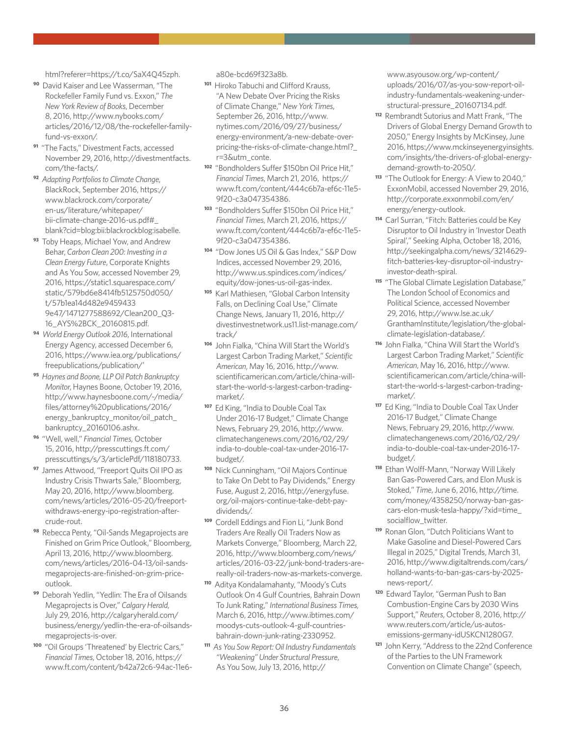[html?referer=https://t.co/SaX4Q45zph](http://www.nytimes.com/2016/11/21/science/exxon-mobil-rockefellers-climate-change.html?referer=https://t.co/SaX4Q45zph).

- **<sup>90</sup>** David Kaiser and Lee Wasserman, "The Rockefeller Family Fund vs. Exxon," *The New York Review of Books*, December 8, 2016, [http://www.nybooks.com/](http://www.nybooks.com/articles/2016/12/08/the-rockefeller-family-fund-vs-exxon/) [articles/2016/12/08/the-rockefeller-family](http://www.nybooks.com/articles/2016/12/08/the-rockefeller-family-fund-vs-exxon/)[fund-vs-exxon/](http://www.nybooks.com/articles/2016/12/08/the-rockefeller-family-fund-vs-exxon/).
- **<sup>91</sup>** "The Facts," Divestment Facts, accessed November 29, 2016, [http://divestmentfacts.](http://divestmentfacts.com/the-facts/) [com/the-facts/.](http://divestmentfacts.com/the-facts/)
- **<sup>92</sup>** *Adapting Portfolios to Climate Change*, BlackRock, September 2016, [https://](https://www.blackrock.com/corporate/en-us/literature/whitepaper/bii-climate-change-2016-us.pdf#_blan) [www.blackrock.com/corporate/](https://www.blackrock.com/corporate/en-us/literature/whitepaper/bii-climate-change-2016-us.pdf#_blan) [en-us/literature/whitepaper/](https://www.blackrock.com/corporate/en-us/literature/whitepaper/bii-climate-change-2016-us.pdf#_blan) [bii-climate-change-2016-us.pdf#\\_](https://www.blackrock.com/corporate/en-us/literature/whitepaper/bii-climate-change-2016-us.pdf#_blan) [blank?cid=blog:bii:blackrockblog:isabelle.](https://www.blackrock.com/corporate/en-us/literature/whitepaper/bii-climate-change-2016-us.pdf#_blan)
- **<sup>93</sup>** Toby Heaps, Michael Yow, and Andrew Behar, *Carbon Clean 200: Investing in a Clean Energy Future*, Corporate Knights and As You Sow, accessed November 29, 2016, [https://static1.squarespace.com/](https://static1.squarespace.com/static/579bd6e8414fb5125750d050/t/57b1ea14d482e94594339e47/1471277588692/Clean200_Q3-16_AYS%2BCK_20160815.pdf) [static/579bd6e8414fb5125750d050/](https://static1.squarespace.com/static/579bd6e8414fb5125750d050/t/57b1ea14d482e94594339e47/1471277588692/Clean200_Q3-16_AYS%2BCK_20160815.pdf) [t/57b1ea14d482e9459433](https://static1.squarespace.com/static/579bd6e8414fb5125750d050/t/57b1ea14d482e94594339e47/1471277588692/Clean200_Q3-16_AYS%2BCK_20160815.pdf) [9e47/1471277588692/Clean200\\_Q3-](https://static1.squarespace.com/static/579bd6e8414fb5125750d050/t/57b1ea14d482e94594339e47/1471277588692/Clean200_Q3-16_AYS%2BCK_20160815.pdf) [16\\_AYS%2BCK\\_20160815.pdf.](https://static1.squarespace.com/static/579bd6e8414fb5125750d050/t/57b1ea14d482e94594339e47/1471277588692/Clean200_Q3-16_AYS%2BCK_20160815.pdf)
- **<sup>94</sup>** *World Energy Outlook 2016*, International Energy Agency, accessed December 6, 2016, [https://www.iea.org/publications/](https://www.iea.org/publications/freepublications/publication/) [freepublications/publication/'](https://www.iea.org/publications/freepublications/publication/)
- **<sup>95</sup>** *Haynes and Boone, LLP Oil Patch Bankruptcy Monitor*, Haynes Boone, October 19, 2016, [http://www.haynesboone.com/~/media/](http://www.haynesboone.com/~/media/files/attorney%20publications/2016/energy_bankruptcy_monitor/oil_) [files/attorney%20publications/2016/](http://www.haynesboone.com/~/media/files/attorney%20publications/2016/energy_bankruptcy_monitor/oil_) [energy\\_bankruptcy\\_monitor/oil\\_patch\\_](http://www.haynesboone.com/~/media/files/attorney%20publications/2016/energy_bankruptcy_monitor/oil_) [bankruptcy\\_20160106.ashx](http://www.haynesboone.com/~/media/files/attorney%20publications/2016/energy_bankruptcy_monitor/oil_).
- **<sup>96</sup>** "Well, well," *Financial Times*, October 15, 2016, [http://presscuttings.ft.com/](http://presscuttings.ft.com/presscuttings/s/3/articlePdf/118180733) [presscuttings/s/3/articlePdf/118180733](http://presscuttings.ft.com/presscuttings/s/3/articlePdf/118180733).
- **<sup>97</sup>** James Attwood, "Freeport Quits Oil IPO as Industry Crisis Thwarts Sale," Bloomberg, May 20, 2016, [http://www.bloomberg.](http://www.bloomberg.com/news/articles/2016-05-20/freeport-withdraws-energy-ipo-registration-after-c) [com/news/articles/2016-05-20/freeport](http://www.bloomberg.com/news/articles/2016-05-20/freeport-withdraws-energy-ipo-registration-after-c)[withdraws-energy-ipo-registration-after](http://www.bloomberg.com/news/articles/2016-05-20/freeport-withdraws-energy-ipo-registration-after-c)[crude-rout.](http://www.bloomberg.com/news/articles/2016-05-20/freeport-withdraws-energy-ipo-registration-after-c)
- **<sup>98</sup>** Rebecca Penty, "Oil-Sands Megaprojects are Finished on Grim Price Outlook," Bloomberg, April 13, 2016, [http://www.bloomberg.](http://www.bloomberg.com/news/articles/2016-04-13/oil-sands-megaprojects-are-finished-on-grim-price-) [com/news/articles/2016-04-13/oil-sands](http://www.bloomberg.com/news/articles/2016-04-13/oil-sands-megaprojects-are-finished-on-grim-price-)[megaprojects-are-finished-on-grim-price](http://www.bloomberg.com/news/articles/2016-04-13/oil-sands-megaprojects-are-finished-on-grim-price-)[outlook.](http://www.bloomberg.com/news/articles/2016-04-13/oil-sands-megaprojects-are-finished-on-grim-price-)
- **<sup>99</sup>** Deborah Yedlin, "Yedlin: The Era of Oilsands Megaprojects is Over," *Calgary Herald*, July 29, 2016, [http://calgaryherald.com/](http://calgaryherald.com/business/energy/yedlin-the-era-of-oilsands-megaprojects-is-over) [business/energy/yedlin-the-era-of-oilsands](http://calgaryherald.com/business/energy/yedlin-the-era-of-oilsands-megaprojects-is-over)[megaprojects-is-over.](http://calgaryherald.com/business/energy/yedlin-the-era-of-oilsands-megaprojects-is-over)
- **<sup>100</sup>** "Oil Groups 'Threatened' by Electric Cars," *Financial Times*, October 18, 2016, [https://](https://www.ft.com/content/b42a72c6-94ac-11e6-a80e-bcd69f323a8b) [www.ft.com/content/b42a72c6-94ac-11e6-](https://www.ft.com/content/b42a72c6-94ac-11e6-a80e-bcd69f323a8b)

[a80e-bcd69f323a8b.](https://www.ft.com/content/b42a72c6-94ac-11e6-a80e-bcd69f323a8b)

- **<sup>101</sup>** Hiroko Tabuchi and Clifford Krauss, "A New Debate Over Pricing the Risks of Climate Change," *New York Times*, September 26, 2016, [http://www.](http://www.nytimes.com/2016/09/27/business/energy-environment/a-new-debate-over-pricing-the-risks-of) [nytimes.com/2016/09/27/business/](http://www.nytimes.com/2016/09/27/business/energy-environment/a-new-debate-over-pricing-the-risks-of) [energy-environment/a-new-debate-over](http://www.nytimes.com/2016/09/27/business/energy-environment/a-new-debate-over-pricing-the-risks-of)[pricing-the-risks-of-climate-change.html?\\_](http://www.nytimes.com/2016/09/27/business/energy-environment/a-new-debate-over-pricing-the-risks-of) [r=3&utm\\_conte](http://www.nytimes.com/2016/09/27/business/energy-environment/a-new-debate-over-pricing-the-risks-of).
- **<sup>102</sup>** "Bondholders Suffer \$150bn Oil Price Hit," *Financial Times*, March 21, 2016, [https://](https://www.ft.com/content/444c6b7a-ef6c-11e5-9f20-c3a047354386) [www.ft.com/content/444c6b7a-ef6c-11e5-](https://www.ft.com/content/444c6b7a-ef6c-11e5-9f20-c3a047354386) [9f20-c3a047354386.](https://www.ft.com/content/444c6b7a-ef6c-11e5-9f20-c3a047354386)
- **<sup>103</sup>** "Bondholders Suffer \$150bn Oil Price Hit," *Financial Times*, March 21, 2016, [https://](https://www.ft.com/content/444c6b7a-ef6c-11e5-9f20-c3a047354386) [www.ft.com/content/444c6b7a-ef6c-11e5-](https://www.ft.com/content/444c6b7a-ef6c-11e5-9f20-c3a047354386) [9f20-c3a047354386.](https://www.ft.com/content/444c6b7a-ef6c-11e5-9f20-c3a047354386)
- **<sup>104</sup>** "Dow Jones US Oil & Gas Index," S&P Dow Indices, accessed November 29, 2016, [http://www.us.spindices.com/indices/](http://www.us.spindices.com/indices/equity/dow-jones-us-oil-gas-index) [equity/dow-jones-us-oil-gas-index.](http://www.us.spindices.com/indices/equity/dow-jones-us-oil-gas-index)
- **<sup>105</sup>** Karl Mathiesen, "Global Carbon Intensity Falls, on Declining Coal Use," Climate Change News, January 11, 2016, [http://](http://divestinvestnetwork.us11.list-manage.com/track/) [divestinvestnetwork.us11.list-manage.com/](http://divestinvestnetwork.us11.list-manage.com/track/) [track/](http://divestinvestnetwork.us11.list-manage.com/track/)
- **<sup>106</sup>** John Fialka, "China Will Start the World's Largest Carbon Trading Market," *Scientific American*, May 16, 2016, [http://www.](http://www.scientificamerican.com/article/china-will-start-the-world-s-largest-carbon-trading-market) [scientificamerican.com/article/china-will](http://www.scientificamerican.com/article/china-will-start-the-world-s-largest-carbon-trading-market)[start-the-world-s-largest-carbon-trading](http://www.scientificamerican.com/article/china-will-start-the-world-s-largest-carbon-trading-market)[market/](http://www.scientificamerican.com/article/china-will-start-the-world-s-largest-carbon-trading-market).
- **<sup>107</sup>** Ed King, "India to Double Coal Tax Under 2016-17 Budget," Climate Change News, February 29, 2016, [http://www.](http://www.climatechangenews.com/2016/02/29/india-to-double-coal-tax-under-2016-17-budget/) [climatechangenews.com/2016/02/29/](http://www.climatechangenews.com/2016/02/29/india-to-double-coal-tax-under-2016-17-budget/) [india-to-double-coal-tax-under-2016-17](http://www.climatechangenews.com/2016/02/29/india-to-double-coal-tax-under-2016-17-budget/) [budget/](http://www.climatechangenews.com/2016/02/29/india-to-double-coal-tax-under-2016-17-budget/).
- **<sup>108</sup>** Nick Cunningham, "Oil Majors Continue to Take On Debt to Pay Dividends," Energy Fuse, August 2, 2016, [http://energyfuse.](http://energyfuse.org/oil-majors-continue-take-debt-pay-dividends) [org/oil-majors-continue-take-debt-pay](http://energyfuse.org/oil-majors-continue-take-debt-pay-dividends)[dividends/](http://energyfuse.org/oil-majors-continue-take-debt-pay-dividends).
- **<sup>109</sup>** Cordell Eddings and Fion Li, "Junk Bond Traders Are Really Oil Traders Now as Markets Converge," Bloomberg, March 22, 2016, [http://www.bloomberg.com/news/](http://www.bloomberg.com/news/articles/2016-03-22/junk-bond-traders-are-really-oil-traders-now-as-ma) [articles/2016-03-22/junk-bond-traders-are](http://www.bloomberg.com/news/articles/2016-03-22/junk-bond-traders-are-really-oil-traders-now-as-ma)[really-oil-traders-now-as-markets-converge.](http://www.bloomberg.com/news/articles/2016-03-22/junk-bond-traders-are-really-oil-traders-now-as-ma)
- **<sup>110</sup>** Aditya Kondalamahanty, "Moody's Cuts Outlook On 4 Gulf Countries, Bahrain Down To Junk Rating," *International Business Times,* March 6, 2016, [http://www.ibtimes.com/](http://www.ibtimes.com/moodys-cuts-outlook-4-gulf-countries-bahrain-down-junk-rating-2330952) [moodys-cuts-outlook-4-gulf-countries](http://www.ibtimes.com/moodys-cuts-outlook-4-gulf-countries-bahrain-down-junk-rating-2330952)[bahrain-down-junk-rating-2330952](http://www.ibtimes.com/moodys-cuts-outlook-4-gulf-countries-bahrain-down-junk-rating-2330952).
- **<sup>111</sup>** *As You Sow Report: Oil Industry Fundamentals "Weakening" Under Structural Pressure*, As You Sow, July 13, 2016, [http://](http://www.asyousow.org/wp-content/uploads/2016/07/as-you-sow-report-oil-industry-fundamentals-weake)

[www.asyousow.org/wp-content/](http://www.asyousow.org/wp-content/uploads/2016/07/as-you-sow-report-oil-industry-fundamentals-weake) [uploads/2016/07/as-you-sow-report-oil](http://www.asyousow.org/wp-content/uploads/2016/07/as-you-sow-report-oil-industry-fundamentals-weake)[industry-fundamentals-weakening-under](http://www.asyousow.org/wp-content/uploads/2016/07/as-you-sow-report-oil-industry-fundamentals-weake)[structural-pressure\\_201607134.pdf.](http://www.asyousow.org/wp-content/uploads/2016/07/as-you-sow-report-oil-industry-fundamentals-weake)

- **<sup>112</sup>** Rembrandt Sutorius and Matt Frank, "The Drivers of Global Energy Demand Growth to 2050," Energy Insights by McKinsey, June 2016, [https://www.mckinseyenergyinsights.](https://www.mckinseyenergyinsights.com/insights/the-drivers-of-global-energy-demand-growth-to-2050/) [com/insights/the-drivers-of-global-energy](https://www.mckinseyenergyinsights.com/insights/the-drivers-of-global-energy-demand-growth-to-2050/)[demand-growth-to-2050/](https://www.mckinseyenergyinsights.com/insights/the-drivers-of-global-energy-demand-growth-to-2050/).
- **<sup>113</sup>** "The Outlook for Energy: A View to 2040," ExxonMobil, accessed November 29, 2016, [http://corporate.exxonmobil.com/en/](http://corporate.exxonmobil.com/en/energy/energy-outlook.) [energy/energy-outlook.](http://corporate.exxonmobil.com/en/energy/energy-outlook.)
- **<sup>114</sup>** Carl Surran, "Fitch: Batteries could be Key Disruptor to Oil Industry in 'Investor Death Spiral'," Seeking Alpha, October 18, 2016, [http://seekingalpha.com/news/3214629](http://seekingalpha.com/news/3214629-fitch-batteries-key-disruptor-oil-industry-investor-death-spira) [fitch-batteries-key-disruptor-oil-industry](http://seekingalpha.com/news/3214629-fitch-batteries-key-disruptor-oil-industry-investor-death-spira)[investor-death-spiral](http://seekingalpha.com/news/3214629-fitch-batteries-key-disruptor-oil-industry-investor-death-spira).
- **<sup>115</sup>** "The Global Climate Legislation Database," The London School of Economics and Political Science, accessed November 29, 2016, [http://www.lse.ac.uk/](http://www.lse.ac.uk/GranthamInstitute/legislation/the-global-climate-legislation-database/) [GranthamInstitute/legislation/the-global](http://www.lse.ac.uk/GranthamInstitute/legislation/the-global-climate-legislation-database/)[climate-legislation-database/](http://www.lse.ac.uk/GranthamInstitute/legislation/the-global-climate-legislation-database/).
- **<sup>116</sup>** John Fialka, "China Will Start the World's Largest Carbon Trading Market," *Scientific American*, May 16, 2016, [http://www.](http://www.scientificamerican.com/article/china-will-start-the-world-s-largest-carbon-trading-market) [scientificamerican.com/article/china-will](http://www.scientificamerican.com/article/china-will-start-the-world-s-largest-carbon-trading-market)[start-the-world-s-largest-carbon-trading](http://www.scientificamerican.com/article/china-will-start-the-world-s-largest-carbon-trading-market)[market/](http://www.scientificamerican.com/article/china-will-start-the-world-s-largest-carbon-trading-market).
- **<sup>117</sup>** Ed King, "India to Double Coal Tax Under 2016-17 Budget," Climate Change News, February 29, 2016, [http://www.](http://www.climatechangenews.com/2016/02/29/india-to-double-coal-tax-under-2016-17-budget/) [climatechangenews.com/2016/02/29/](http://www.climatechangenews.com/2016/02/29/india-to-double-coal-tax-under-2016-17-budget/) [india-to-double-coal-tax-under-2016-17](http://www.climatechangenews.com/2016/02/29/india-to-double-coal-tax-under-2016-17-budget/) [budget/](http://www.climatechangenews.com/2016/02/29/india-to-double-coal-tax-under-2016-17-budget/).
- **<sup>118</sup>** Ethan Wolff-Mann, "Norway Will Likely Ban Gas-Powered Cars, and Elon Musk is Stoked," *Time*, June 6, 2016, [http://time.](http://time.com/money/4358250/norway-ban-gas-cars-elon-musk-tesla-happy/?xid=time_socialflow_twitter) [com/money/4358250/norway-ban-gas](http://time.com/money/4358250/norway-ban-gas-cars-elon-musk-tesla-happy/?xid=time_socialflow_twitter)[cars-elon-musk-tesla-happy/?xid=time\\_](http://time.com/money/4358250/norway-ban-gas-cars-elon-musk-tesla-happy/?xid=time_socialflow_twitter) [socialflow\\_twitter.](http://time.com/money/4358250/norway-ban-gas-cars-elon-musk-tesla-happy/?xid=time_socialflow_twitter)
- **<sup>119</sup>** Ronan Glon, "Dutch Politicians Want to Make Gasoline and Diesel-Powered Cars Illegal in 2025," Digital Trends, March 31, 2016, [http://www.digitaltrends.com/cars/](http://www.digitaltrends.com/cars/holland-wants-to-ban-gas-cars-by-2025-news-report/) [holland-wants-to-ban-gas-cars-by-2025](http://www.digitaltrends.com/cars/holland-wants-to-ban-gas-cars-by-2025-news-report/) [news-report/.](http://www.digitaltrends.com/cars/holland-wants-to-ban-gas-cars-by-2025-news-report/)
- **<sup>120</sup>** Edward Taylor, "German Push to Ban Combustion-Engine Cars by 2030 Wins Support," *Reuters*, October 8, 2016, [http://](http://www.reuters.com/article/us-autos-emissions-germany-idUSKCN1280G7) [www.reuters.com/article/us-autos](http://www.reuters.com/article/us-autos-emissions-germany-idUSKCN1280G7)[emissions-germany-idUSKCN1280G7](http://www.reuters.com/article/us-autos-emissions-germany-idUSKCN1280G7).
- **<sup>121</sup>** John Kerry, "Address to the 22nd Conference of the Parties to the UN Framework Convention on Climate Change" (speech,